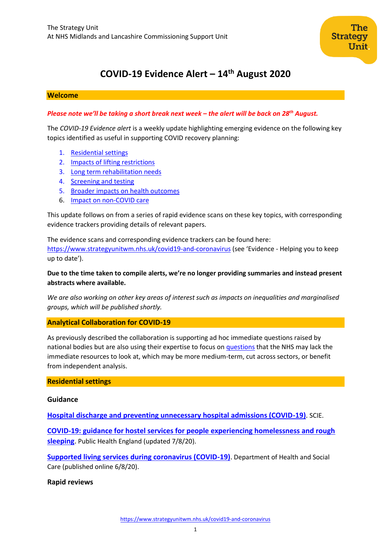

# **COVID-19 Evidence Alert – 14th August 2020**

#### **Welcome**

#### *Please note we'll be taking a short break next week – the alert will be back on 28th August.*

The *COVID-19 Evidence alert* is a weekly update highlighting emerging evidence on the following key topics identified as useful in supporting COVID recovery planning:

- 1. [Residential settings](#page-0-0)
- 2. [Impacts of lifting restrictions](#page-2-0)
- 3. [Long term rehabilitation needs](#page-9-0)
- 4. [Screening and testing](#page-11-0)
- 5. [Broader impacts on health outcomes](#page-15-0)
- 6. Impact on non-COVID care

This update follows on from a series of rapid evidence scans on these key topics, with corresponding evidence trackers providing details of relevant papers.

The evidence scans and corresponding evidence trackers can be found here: <https://www.strategyunitwm.nhs.uk/covid19-and-coronavirus> (see 'Evidence - Helping you to keep up to date').

#### **Due to the time taken to compile alerts, we're no longer providing summaries and instead present abstracts where available.**

*We are also working on other key areas of interest such as impacts on inequalities and marginalised groups, which will be published shortly.*

#### **Analytical Collaboration for COVID-19**

As previously described the collaboration is supporting ad hoc immediate questions raised by national bodies but are also using their expertise to focus on [questions](https://www.strategyunitwm.nhs.uk/sites/default/files/2020-05/Covid%20Collaboration%20Summaries_0.pdf) that the NHS may lack the immediate resources to look at, which may be more medium-term, cut across sectors, or benefit from independent analysis.

#### <span id="page-0-0"></span>**Residential settings**

#### **Guidance**

**[Hospital discharge and preventing unnecessary hospital admissions \(COVID-19\)](https://www.scie.org.uk/care-providers/coronavirus-covid-19/commissioning/hospital-discharge-admissions)**. SCIE.

**[COVID-19: guidance for hostel services for people experiencing homelessness and rough](https://www.gov.uk/government/publications/covid-19-guidance-on-services-for-people-experiencing-rough-sleeping)  [sleeping](https://www.gov.uk/government/publications/covid-19-guidance-on-services-for-people-experiencing-rough-sleeping)**. Public Health England (updated 7/8/20).

**[Supported living services during coronavirus \(COVID-19\)](https://www.gov.uk/government/publications/supported-living-services-during-coronavirus-covid-19)**. Department of Health and Social Care (published online 6/8/20).

#### **Rapid reviews**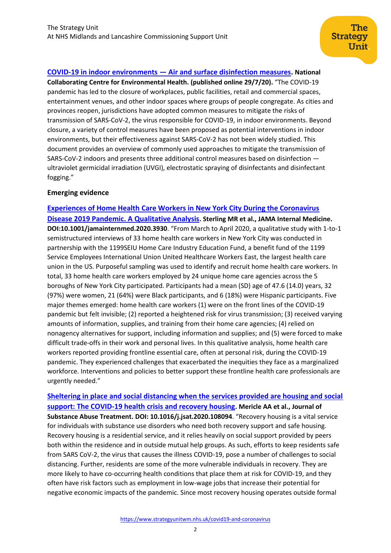## **COVID-19 in indoor environments — [Air and surface disinfection measures.](https://ncceh.ca/documents/guide/covid-19-indoor-environments-air-and-surface-disinfection-measures) National**

**Collaborating Centre for Environmental Health. (published online 29/7/20).** "The COVID-19 pandemic has led to the closure of workplaces, public facilities, retail and commercial spaces, entertainment venues, and other indoor spaces where groups of people congregate. As cities and provinces reopen, jurisdictions have adopted common measures to mitigate the risks of transmission of SARS-CoV-2, the virus responsible for COVID-19, in indoor environments. Beyond closure, a variety of control measures have been proposed as potential interventions in indoor environments, but their effectiveness against SARS-CoV-2 has not been widely studied. This document provides an overview of commonly used approaches to mitigate the transmission of SARS-CoV-2 indoors and presents three additional control measures based on disinfection ultraviolet germicidal irradiation (UVGI), electrostatic spraying of disinfectants and disinfectant fogging."

#### **Emerging evidence**

**Experiences of Home Health [Care Workers in New York City During the Coronavirus](https://jamanetwork.com/journals/jamainternalmedicine/fullarticle/2769096)  [Disease 2019 Pandemic. A Qualitative Analysis](https://jamanetwork.com/journals/jamainternalmedicine/fullarticle/2769096). Sterling MR et al., JAMA Internal Medicine. DOI:10.1001/jamainternmed.2020.3930**. "From March to April 2020, a qualitative study with 1-to-1 semistructured interviews of 33 home health care workers in New York City was conducted in partnership with the 1199SEIU Home Care Industry Education Fund, a benefit fund of the 1199 Service Employees International Union United Healthcare Workers East, the largest health care union in the US. Purposeful sampling was used to identify and recruit home health care workers. In total, 33 home health care workers employed by 24 unique home care agencies across the 5 boroughs of New York City participated. Participants had a mean (SD) age of 47.6 (14.0) years, 32 (97%) were women, 21 (64%) were Black participants, and 6 (18%) were Hispanic participants. Five major themes emerged: home health care workers (1) were on the front lines of the COVID-19 pandemic but felt invisible; (2) reported a heightened risk for virus transmission; (3) received varying amounts of information, supplies, and training from their home care agencies; (4) relied on nonagency alternatives for support, including information and supplies; and (5) were forced to make difficult trade-offs in their work and personal lives. In this qualitative analysis, home health care workers reported providing frontline essential care, often at personal risk, during the COVID-19 pandemic. They experienced challenges that exacerbated the inequities they face as a marginalized workforce. Interventions and policies to better support these frontline health care professionals are urgently needed."

**[Sheltering in place and social distancing when the services provided are housing and social](https://www.sciencedirect.com/science/article/pii/S0740547220303500?v=s5)  [support: The COVID-19 health crisis and recovery housing](https://www.sciencedirect.com/science/article/pii/S0740547220303500?v=s5). Mericle AA et al., Journal of Substance Abuse Treatment. DOI: 10.1016/j.jsat.2020.108094**. "Recovery housing is a vital service for individuals with substance use disorders who need both recovery support and safe housing. Recovery housing is a residential service, and it relies heavily on social support provided by peers both within the residence and in outside mutual help groups. As such, efforts to keep residents safe from SARS CoV-2, the virus that causes the illness COVID-19, pose a number of challenges to social distancing. Further, residents are some of the more vulnerable individuals in recovery. They are more likely to have co-occurring health conditions that place them at risk for COVID-19, and they often have risk factors such as employment in low-wage jobs that increase their potential for negative economic impacts of the pandemic. Since most recovery housing operates outside formal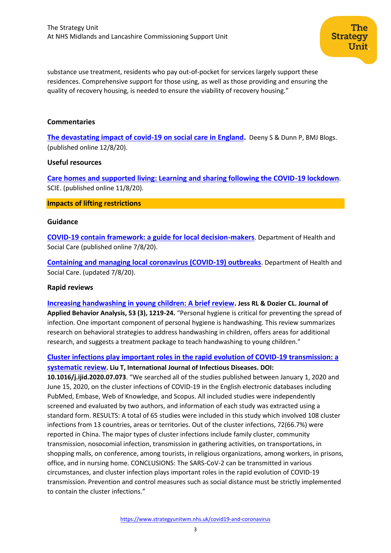

substance use treatment, residents who pay out-of-pocket for services largely support these residences. Comprehensive support for those using, as well as those providing and ensuring the quality of recovery housing, is needed to ensure the viability of recovery housing."

#### **Commentaries**

**[The devastating impact of covid-19 on social care in England.](https://blogs.bmj.com/bmj/2020/08/12/the-devastating-impact-of-covid-19-on-social-care-in-england/)** Deeny S & Dunn P, BMJ Blogs. (published online 12/8/20).

#### **Useful resources**

**[Care homes and supported living: Learning and sharing following the COVID-19 lockdown](https://www.scie.org.uk/care-providers/coronavirus-covid-19/care-homes/supported-living)**. SCIE. (published online 11/8/20).

#### <span id="page-2-0"></span>**Impacts of lifting restrictions**

#### **Guidance**

**[COVID-19 contain framework: a guide for local decision-makers](https://www.gov.uk/government/publications/containing-and-managing-local-coronavirus-covid-19-outbreaks/covid-19-contain-framework-a-guide-for-local-decision-makers)**. Department of Health and Social Care (published online 7/8/20).

**Containing and [managing local coronavirus \(COVID-19\) outbreaks](https://www.gov.uk/government/publications/containing-and-managing-local-coronavirus-covid-19-outbreaks/covid-19-contain-framework-a-guide-for-local-decision-makers)**. Department of Health and Social Care. (updated 7/8/20).

#### **Rapid reviews**

**[Increasing handwashing in young children: A brief review.](https://onlinelibrary.wiley.com/doi/full/10.1002/jaba.732) Jess RL & Dozier CL. Journal of Applied Behavior Analysis, 53 (3), 1219-24.** "Personal hygiene is critical for preventing the spread of infection. One important component of personal hygiene is handwashing. This review summarizes research on behavioral strategies to address handwashing in children, offers areas for additional research, and suggests a treatment package to teach handwashing to young children."

## **[Cluster infections play important roles in the rapid evolution of COVID-19 transmission: a](https://www.ijidonline.com/article/S1201-9712(20)30619-6/fulltext)  [systematic review](https://www.ijidonline.com/article/S1201-9712(20)30619-6/fulltext). Liu T, International Journal of Infectious Diseases. DOI:**

**10.1016/j.ijid.2020.07.073**. "We searched all of the studies published between January 1, 2020 and June 15, 2020, on the cluster infections of COVID-19 in the English electronic databases including PubMed, Embase, Web of Knowledge, and Scopus. All included studies were independently screened and evaluated by two authors, and information of each study was extracted using a standard form. RESULTS: A total of 65 studies were included in this study which involved 108 cluster infections from 13 countries, areas or territories. Out of the cluster infections, 72(66.7%) were reported in China. The major types of cluster infections include family cluster, community transmission, nosocomial infection, transmission in gathering activities, on transportations, in shopping malls, on conference, among tourists, in religious organizations, among workers, in prisons, office, and in nursing home. CONCLUSIONS: The SARS-CoV-2 can be transmitted in various circumstances, and cluster infection plays important roles in the rapid evolution of COVID-19 transmission. Prevention and control measures such as social distance must be strictly implemented to contain the cluster infections."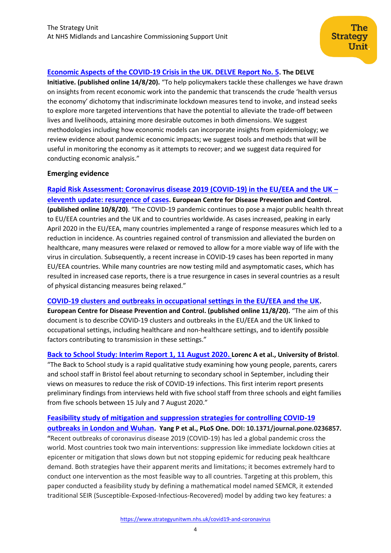### **[Economic Aspects of the COVID-19 Crisis in the UK.](https://rs-delve.github.io/reports/2020/08/14/economic-aspects-of-the-covid19-crisis-in-the-uk.html) DELVE Report No. 5. The DELVE**

**Initiative. (published online 14/8/20).** "To help policymakers tackle these challenges we have drawn on insights from recent economic work into the pandemic that transcends the crude 'health versus the economy' dichotomy that indiscriminate lockdown measures tend to invoke, and instead seeks to explore more targeted interventions that have the potential to alleviate the trade-off between lives and livelihoods, attaining more desirable outcomes in both dimensions. We suggest methodologies including how economic models can incorporate insights from epidemiology; we review evidence about pandemic economic impacts; we suggest tools and methods that will be useful in monitoring the economy as it attempts to recover; and we suggest data required for conducting economic analysis."

#### **Emerging evidence**

#### **[Rapid Risk Assessment: Coronavirus disease 2019 \(COVID-19\) in the EU/EEA and the UK](https://www.ecdc.europa.eu/en/publications-data/rapid-risk-assessment-coronavirus-disease-2019-covid-19-eueea-and-uk-eleventh) –**

**[eleventh update: resurgence of cases](https://www.ecdc.europa.eu/en/publications-data/rapid-risk-assessment-coronavirus-disease-2019-covid-19-eueea-and-uk-eleventh). European Centre for Disease Prevention and Control. (published online 10/8/20)**. "The COVID-19 pandemic continues to pose a major public health threat to EU/EEA countries and the UK and to countries worldwide. As cases increased, peaking in early April 2020 in the EU/EEA, many countries implemented a range of response measures which led to a reduction in incidence. As countries regained control of transmission and alleviated the burden on healthcare, many measures were relaxed or removed to allow for a more viable way of life with the virus in circulation. Subsequently, a recent increase in COVID-19 cases has been reported in many EU/EEA countries. While many countries are now testing mild and asymptomatic cases, which has resulted in increased case reports, there is a true resurgence in cases in several countries as a result of physical distancing measures being relaxed."

#### **[COVID-19 clusters and outbreaks in occupational settings in the EU/EEA and the UK](https://www.ecdc.europa.eu/en/publications-data/covid-19-clusters-and-outbreaks-occupational-settings-eueea-and-uk).**

**European Centre for Disease Prevention and Control. (published online 11/8/20).** "The aim of this document is to describe COVID-19 clusters and outbreaks in the EU/EEA and the UK linked to occupational settings, including healthcare and non-healthcare settings, and to identify possible factors contributing to transmission in these settings."

#### **[Back to School Study: Interim Report 1, 11 August 2020.](https://arc-w.nihr.ac.uk/research-and-implementation/covid-19-response/reports/views-of-young-people-their-parents-carers-and-teachers-about-re-opening-secondary-schools-the-back-to-school-study-interim-report-1/) Lorenc A et al., University of Bristol**.

"The Back to School study is a rapid qualitative study examining how young people, parents, carers and school staff in Bristol feel about returning to secondary school in September, including their views on measures to reduce the risk of COVID-19 infections. This first interim report presents preliminary findings from interviews held with five school staff from three schools and eight families from five schools between 15 July and 7 August 2020."

#### **[Feasibility study of mitigation and suppression strategies for controlling COVID-19](https://journals.plos.org/plosone/article?id=10.1371/journal.pone.0236857)**

**[outbreaks in London and Wuhan](https://journals.plos.org/plosone/article?id=10.1371/journal.pone.0236857). Yang P et al., PLoS One. DOI: 10.1371/journal.pone.0236857.**

**"**Recent outbreaks of coronavirus disease 2019 (COVID-19) has led a global pandemic cross the world. Most countries took two main interventions: suppression like immediate lockdown cities at epicenter or mitigation that slows down but not stopping epidemic for reducing peak healthcare demand. Both strategies have their apparent merits and limitations; it becomes extremely hard to conduct one intervention as the most feasible way to all countries. Targeting at this problem, this paper conducted a feasibility study by defining a mathematical model named SEMCR, it extended traditional SEIR (Susceptible-Exposed-Infectious-Recovered) model by adding two key features: a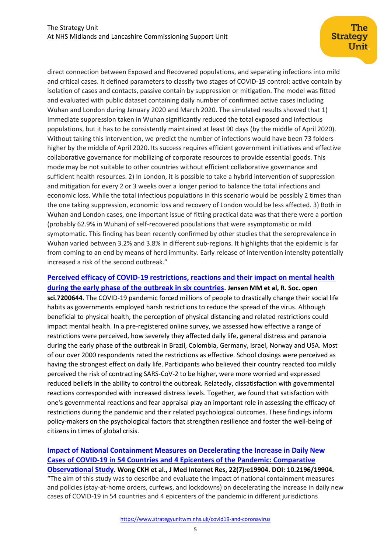direct connection between Exposed and Recovered populations, and separating infections into mild and critical cases. It defined parameters to classify two stages of COVID-19 control: active contain by isolation of cases and contacts, passive contain by suppression or mitigation. The model was fitted and evaluated with public dataset containing daily number of confirmed active cases including Wuhan and London during January 2020 and March 2020. The simulated results showed that 1) Immediate suppression taken in Wuhan significantly reduced the total exposed and infectious populations, but it has to be consistently maintained at least 90 days (by the middle of April 2020). Without taking this intervention, we predict the number of infections would have been 73 folders higher by the middle of April 2020. Its success requires efficient government initiatives and effective collaborative governance for mobilizing of corporate resources to provide essential goods. This mode may be not suitable to other countries without efficient collaborative governance and sufficient health resources. 2) In London, it is possible to take a hybrid intervention of suppression and mitigation for every 2 or 3 weeks over a longer period to balance the total infections and economic loss. While the total infectious populations in this scenario would be possibly 2 times than the one taking suppression, economic loss and recovery of London would be less affected. 3) Both in Wuhan and London cases, one important issue of fitting practical data was that there were a portion (probably 62.9% in Wuhan) of self-recovered populations that were asymptomatic or mild symptomatic. This finding has been recently confirmed by other studies that the seroprevalence in Wuhan varied between 3.2% and 3.8% in different sub-regions. It highlights that the epidemic is far from coming to an end by means of herd immunity. Early release of intervention intensity potentially increased a risk of the second outbreak."

## **[Perceived efficacy of COVID-19 restrictions, reactions and their impact on mental health](https://royalsocietypublishing.org/doi/10.1098/rsos.200644)  [during the early phase of the outbreak in six countries](https://royalsocietypublishing.org/doi/10.1098/rsos.200644). Jensen MM et al, R. Soc. open**

**sci.7200644**. The COVID-19 pandemic forced millions of people to drastically change their social life habits as governments employed harsh restrictions to reduce the spread of the virus. Although beneficial to physical health, the perception of physical distancing and related restrictions could impact mental health. In a pre-registered online survey, we assessed how effective a range of restrictions were perceived, how severely they affected daily life, general distress and paranoia during the early phase of the outbreak in Brazil, Colombia, Germany, Israel, Norway and USA. Most of our over 2000 respondents rated the restrictions as effective. School closings were perceived as having the strongest effect on daily life. Participants who believed their country reacted too mildly perceived the risk of contracting SARS-CoV-2 to be higher, were more worried and expressed reduced beliefs in the ability to control the outbreak. Relatedly, dissatisfaction with governmental reactions corresponded with increased distress levels. Together, we found that satisfaction with one's governmental reactions and fear appraisal play an important role in assessing the efficacy of restrictions during the pandemic and their related psychological outcomes. These findings inform policy-makers on the psychological factors that strengthen resilience and foster the well-being of citizens in times of global crisis.

## **[Impact of National Containment Measures on Decelerating the Increase in Daily New](https://www.ncbi.nlm.nih.gov/pmc/articles/PMC7377680/)  [Cases of COVID-19 in 54 Countries and 4 Epicenters of the Pandemic: Comparative](https://www.ncbi.nlm.nih.gov/pmc/articles/PMC7377680/)**

**[Observational Study](https://www.ncbi.nlm.nih.gov/pmc/articles/PMC7377680/). Wong CKH et al., J Med Internet Res, 22(7):e19904. DOI: 10.2196/19904.** "The aim of this study was to describe and evaluate the impact of national containment measures and policies (stay-at-home orders, curfews, and lockdowns) on decelerating the increase in daily new cases of COVID-19 in 54 countries and 4 epicenters of the pandemic in different jurisdictions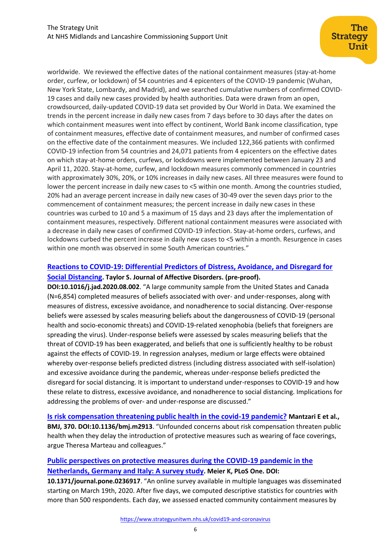worldwide. We reviewed the effective dates of the national containment measures (stay-at-home order, curfew, or lockdown) of 54 countries and 4 epicenters of the COVID-19 pandemic (Wuhan, New York State, Lombardy, and Madrid), and we searched cumulative numbers of confirmed COVID-19 cases and daily new cases provided by health authorities. Data were drawn from an open, crowdsourced, daily-updated COVID-19 data set provided by Our World in Data. We examined the trends in the percent increase in daily new cases from 7 days before to 30 days after the dates on which containment measures went into effect by continent, World Bank income classification, type of containment measures, effective date of containment measures, and number of confirmed cases on the effective date of the containment measures. We included 122,366 patients with confirmed COVID-19 infection from 54 countries and 24,071 patients from 4 epicenters on the effective dates on which stay-at-home orders, curfews, or lockdowns were implemented between January 23 and April 11, 2020. Stay-at-home, curfew, and lockdown measures commonly commenced in countries with approximately 30%, 20%, or 10% increases in daily new cases. All three measures were found to lower the percent increase in daily new cases to <5 within one month. Among the countries studied, 20% had an average percent increase in daily new cases of 30-49 over the seven days prior to the commencement of containment measures; the percent increase in daily new cases in these countries was curbed to 10 and 5 a maximum of 15 days and 23 days after the implementation of containment measures, respectively. Different national containment measures were associated with a decrease in daily new cases of confirmed COVID-19 infection. Stay-at-home orders, curfews, and lockdowns curbed the percent increase in daily new cases to <5 within a month. Resurgence in cases within one month was observed in some South American countries."

# **[Reactions to COVID-19: Differential Predictors of Distress, Avoidance, and Disregard for](https://www.sciencedirect.com/science/article/pii/S0165032720325908)  [Social Distancing](https://www.sciencedirect.com/science/article/pii/S0165032720325908). Taylor S. Journal of Affective Disorders. (pre-proof).**

**DOI:10.1016/j.jad.2020.08.002**. "A large community sample from the United States and Canada (N=6,854) completed measures of beliefs associated with over- and under-responses, along with measures of distress, excessive avoidance, and nonadherence to social distancing. Over-response beliefs were assessed by scales measuring beliefs about the dangerousness of COVID-19 (personal health and socio-economic threats) and COVID-19-related xenophobia (beliefs that foreigners are spreading the virus). Under-response beliefs were assessed by scales measuring beliefs that the threat of COVID-19 has been exaggerated, and beliefs that one is sufficiently healthy to be robust against the effects of COVID-19. In regression analyses, medium or large effects were obtained whereby over-response beliefs predicted distress (including distress associated with self-isolation) and excessive avoidance during the pandemic, whereas under-response beliefs predicted the disregard for social distancing. It is important to understand under-responses to COVID-19 and how these relate to distress, excessive avoidance, and nonadherence to social distancing. Implications for addressing the problems of over- and under-response are discussed."

**[Is risk compensation threatening public health in the covid-19 pandemic?](https://www.bmj.com/content/370/bmj.m2913.long) Mantzari E et al., BMJ, 370. DOI:10.1136/bmj.m2913**. "Unfounded concerns about risk compensation threaten public health when they delay the introduction of protective measures such as wearing of face coverings, argue Theresa Marteau and colleagues."

## **[Public perspectives on protective measures during the COVID-19 pandemic in the](https://journals.plos.org/plosone/article?id=10.1371/journal.pone.0236917#sec017)  [Netherlands, Germany and Italy: A survey study](https://journals.plos.org/plosone/article?id=10.1371/journal.pone.0236917#sec017). Meier K, PLoS One. DOI:**

**10.1371/journal.pone.0236917**. "An online survey available in multiple languages was disseminated starting on March 19th, 2020. After five days, we computed descriptive statistics for countries with more than 500 respondents. Each day, we assessed enacted community containment measures by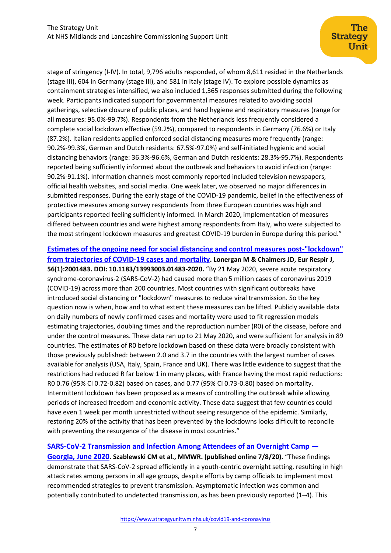stage of stringency (I-IV). In total, 9,796 adults responded, of whom 8,611 resided in the Netherlands (stage III), 604 in Germany (stage III), and 581 in Italy (stage IV). To explore possible dynamics as containment strategies intensified, we also included 1,365 responses submitted during the following week. Participants indicated support for governmental measures related to avoiding social gatherings, selective closure of public places, and hand hygiene and respiratory measures (range for all measures: 95.0%-99.7%). Respondents from the Netherlands less frequently considered a complete social lockdown effective (59.2%), compared to respondents in Germany (76.6%) or Italy (87.2%). Italian residents applied enforced social distancing measures more frequently (range: 90.2%-99.3%, German and Dutch residents: 67.5%-97.0%) and self-initiated hygienic and social distancing behaviors (range: 36.3%-96.6%, German and Dutch residents: 28.3%-95.7%). Respondents reported being sufficiently informed about the outbreak and behaviors to avoid infection (range: 90.2%-91.1%). Information channels most commonly reported included television newspapers, official health websites, and social media. One week later, we observed no major differences in submitted responses. During the early stage of the COVID-19 pandemic, belief in the effectiveness of protective measures among survey respondents from three European countries was high and participants reported feeling sufficiently informed. In March 2020, implementation of measures differed between countries and were highest among respondents from Italy, who were subjected to the most stringent lockdown measures and greatest COVID-19 burden in Europe during this period."

# **[Estimates of the ongoing need for social distancing and control measures post-"lockdown"](https://pubmed.ncbi.nlm.nih.gov/32482785/)  [from trajectories of COVID-19 cases and mortality](https://pubmed.ncbi.nlm.nih.gov/32482785/). Lonergan M & Chalmers JD, Eur Respir J,**

**56(1):2001483. DOI: 10.1183/13993003.01483-2020.** "By 21 May 2020, severe acute respiratory syndrome-coronavirus-2 (SARS-CoV-2) had caused more than 5 million cases of coronavirus 2019 (COVID-19) across more than 200 countries. Most countries with significant outbreaks have introduced social distancing or "lockdown" measures to reduce viral transmission. So the key question now is when, how and to what extent these measures can be lifted. Publicly available data on daily numbers of newly confirmed cases and mortality were used to fit regression models estimating trajectories, doubling times and the reproduction number (R0) of the disease, before and under the control measures. These data ran up to 21 May 2020, and were sufficient for analysis in 89 countries. The estimates of R0 before lockdown based on these data were broadly consistent with those previously published: between 2.0 and 3.7 in the countries with the largest number of cases available for analysis (USA, Italy, Spain, France and UK). There was little evidence to suggest that the restrictions had reduced R far below 1 in many places, with France having the most rapid reductions: R0 0.76 (95% CI 0.72-0.82) based on cases, and 0.77 (95% CI 0.73-0.80) based on mortality. Intermittent lockdown has been proposed as a means of controlling the outbreak while allowing periods of increased freedom and economic activity. These data suggest that few countries could have even 1 week per month unrestricted without seeing resurgence of the epidemic. Similarly, restoring 20% of the activity that has been prevented by the lockdowns looks difficult to reconcile with preventing the resurgence of the disease in most countries."

## **[SARS-CoV-2 Transmission and Infection Among Attendees of an Overnight Camp](https://www.cdc.gov/mmwr/volumes/69/wr/mm6931e1.htm) —**

**[Georgia, June 2020](https://www.cdc.gov/mmwr/volumes/69/wr/mm6931e1.htm). Szablewski CM et al., MMWR. (published online 7/8/20).** "These findings demonstrate that SARS-CoV-2 spread efficiently in a youth-centric overnight setting, resulting in high attack rates among persons in all age groups, despite efforts by camp officials to implement most recommended strategies to prevent transmission. Asymptomatic infection was common and potentially contributed to undetected transmission, as has been previously reported (1–4). This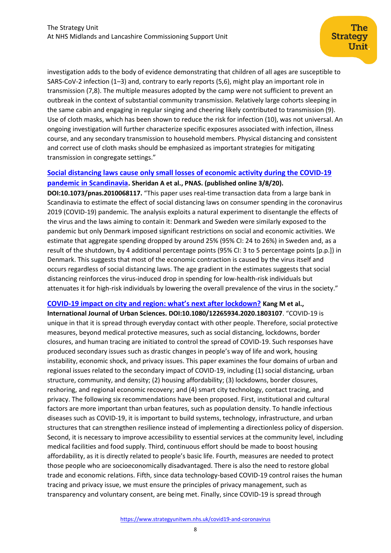investigation adds to the body of evidence demonstrating that children of all ages are susceptible to SARS-CoV-2 infection (1–3) and, contrary to early reports (5,6), might play an important role in transmission (7,8). The multiple measures adopted by the camp were not sufficient to prevent an outbreak in the context of substantial community transmission. Relatively large cohorts sleeping in the same cabin and engaging in regular singing and cheering likely contributed to transmission (9). Use of cloth masks, which has been shown to reduce the risk for infection (10), was not universal. An ongoing investigation will further characterize specific exposures associated with infection, illness course, and any secondary transmission to household members. Physical distancing and consistent and correct use of cloth masks should be emphasized as important strategies for mitigating transmission in congregate settings."

## **[Social distancing laws cause only small losses of economic activity during the COVID-19](https://www.pnas.org/content/early/2020/07/31/2010068117)  [pandemic in Scandinavia.](https://www.pnas.org/content/early/2020/07/31/2010068117) Sheridan A et al., PNAS. (published online 3/8/20).**

**DOI:10.1073/pnas.2010068117.** "This paper uses real-time transaction data from a large bank in Scandinavia to estimate the effect of social distancing laws on consumer spending in the coronavirus 2019 (COVID-19) pandemic. The analysis exploits a natural experiment to disentangle the effects of the virus and the laws aiming to contain it: Denmark and Sweden were similarly exposed to the pandemic but only Denmark imposed significant restrictions on social and economic activities. We estimate that aggregate spending dropped by around 25% (95% CI: 24 to 26%) in Sweden and, as a result of the shutdown, by 4 additional percentage points (95% CI: 3 to 5 percentage points [p.p.]) in Denmark. This suggests that most of the economic contraction is caused by the virus itself and occurs regardless of social distancing laws. The age gradient in the estimates suggests that social distancing reinforces the virus-induced drop in spending for low-health-risk individuals but attenuates it for high-risk individuals by lowering the overall prevalence of the virus in the society."

#### **COVID-[19 impact on city and region: what's next after lockdown?](https://www.tandfonline.com/doi/full/10.1080/12265934.2020.1803107) Kang M et al.,**

**International Journal of Urban Sciences. DOI:10.1080/12265934.2020.1803107**. "COVID-19 is unique in that it is spread through everyday contact with other people. Therefore, social protective measures, beyond medical protective measures, such as social distancing, lockdowns, border closures, and human tracing are initiated to control the spread of COVID-19. Such responses have produced secondary issues such as drastic changes in people's way of life and work, housing instability, economic shock, and privacy issues. This paper examines the four domains of urban and regional issues related to the secondary impact of COVID-19, including (1) social distancing, urban structure, community, and density; (2) housing affordability; (3) lockdowns, border closures, reshoring, and regional economic recovery; and (4) smart city technology, contact tracing, and privacy. The following six recommendations have been proposed. First, institutional and cultural factors are more important than urban features, such as population density. To handle infectious diseases such as COVID-19, it is important to build systems, technology, infrastructure, and urban structures that can strengthen resilience instead of implementing a directionless policy of dispersion. Second, it is necessary to improve accessibility to essential services at the community level, including medical facilities and food supply. Third, continuous effort should be made to boost housing affordability, as it is directly related to people's basic life. Fourth, measures are needed to protect those people who are socioeconomically disadvantaged. There is also the need to restore global trade and economic relations. Fifth, since data technology-based COVID-19 control raises the human tracing and privacy issue, we must ensure the principles of privacy management, such as transparency and voluntary consent, are being met. Finally, since COVID-19 is spread through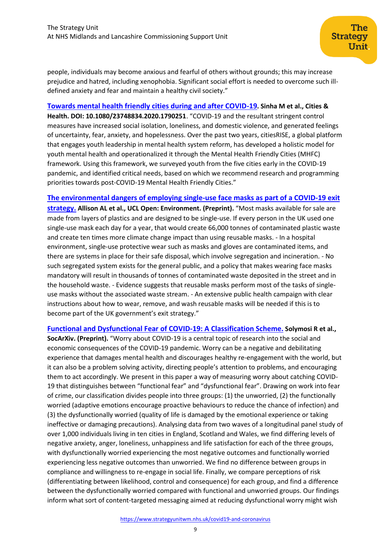people, individuals may become anxious and fearful of others without grounds; this may increase prejudice and hatred, including xenophobia. Significant social effort is needed to overcome such illdefined anxiety and fear and maintain a healthy civil society."

#### **[Towards mental health friendly cities during and after COVID-19](https://www.tandfonline.com/doi/full/10.1080/23748834.2020.1790251). Sinha M et al., Cities &**

**Health. DOI: 10.1080/23748834.2020.1790251**. "COVID-19 and the resultant stringent control measures have increased social isolation, loneliness, and domestic violence, and generated feelings of uncertainty, fear, anxiety, and hopelessness. Over the past two years, citiesRISE, a global platform that engages youth leadership in mental health system reform, has developed a holistic model for youth mental health and operationalized it through the Mental Health Friendly Cities (MHFC) framework. Using this framework, we surveyed youth from the five cities early in the COVID-19 pandemic, and identified critical needs, based on which we recommend research and programming priorities towards post-COVID-19 Mental Health Friendly Cities."

#### **[The environmental dangers of employing single-use face masks as part of a COVID-19 exit](https://ucl.scienceopen.com/hosted-document?doi=10.14324/111.444/000031.v1)**

**[strategy.](https://ucl.scienceopen.com/hosted-document?doi=10.14324/111.444/000031.v1) Allison AL et al., UCL Open: Environment. (Preprint).** "Most masks available for sale are made from layers of plastics and are designed to be single-use. If every person in the UK used one single-use mask each day for a year, that would create 66,000 tonnes of contaminated plastic waste and create ten times more climate change impact than using reusable masks. - In a hospital environment, single-use protective wear such as masks and gloves are contaminated items, and there are systems in place for their safe disposal, which involve segregation and incineration. - No such segregated system exists for the general public, and a policy that makes wearing face masks mandatory will result in thousands of tonnes of contaminated waste deposited in the street and in the household waste. - Evidence suggests that reusable masks perform most of the tasks of singleuse masks without the associated waste stream. - An extensive public health campaign with clear instructions about how to wear, remove, and wash reusable masks will be needed if this is to become part of the UK government's exit strategy."

**[Functional and Dysfunctional Fear of COVID-19: A Classification Scheme.](http://scholar.google.co.uk/scholar_url?url=https://osf.io/2kfs6/download&hl=en&sa=X&d=84450780702414221&scisig=AAGBfm2IZ3lNNNBLRUDw8rhb1tbbngUxnQ&nossl=1&oi=scholaralrt&html=) Solymosi R et al., SocArXiv. (Preprint).** "Worry about COVID-19 is a central topic of research into the social and economic consequences of the COVID-19 pandemic. Worry can be a negative and debilitating experience that damages mental health and discourages healthy re-engagement with the world, but it can also be a problem solving activity, directing people's attention to problems, and encouraging them to act accordingly. We present in this paper a way of measuring worry about catching COVID-19 that distinguishes between "functional fear" and "dysfunctional fear". Drawing on work into fear of crime, our classification divides people into three groups: (1) the unworried, (2) the functionally worried (adaptive emotions encourage proactive behaviours to reduce the chance of infection) and (3) the dysfunctionally worried (quality of life is damaged by the emotional experience or taking ineffective or damaging precautions). Analysing data from two waves of a longitudinal panel study of over 1,000 individuals living in ten cities in England, Scotland and Wales, we find differing levels of negative anxiety, anger, loneliness, unhappiness and life satisfaction for each of the three groups, with dysfunctionally worried experiencing the most negative outcomes and functionally worried experiencing less negative outcomes than unworried. We find no difference between groups in compliance and willingness to re-engage in social life. Finally, we compare perceptions of risk (differentiating between likelihood, control and consequence) for each group, and find a difference between the dysfunctionally worried compared with functional and unworried groups. Our findings inform what sort of content-targeted messaging aimed at reducing dysfunctional worry might wish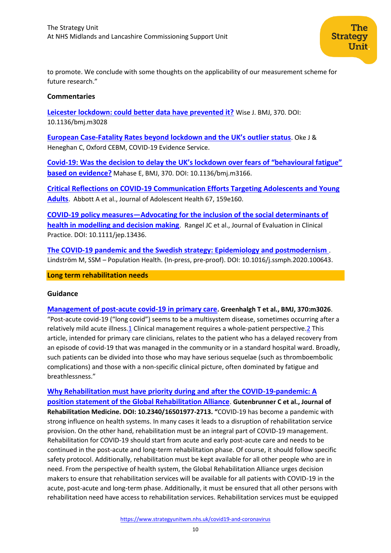to promote. We conclude with some thoughts on the applicability of our measurement scheme for future research."

#### **Commentaries**

**[Leicester lockdown: could better data have prevented it?](https://www.bmj.com/content/370/bmj.m3028)** Wise J. BMJ, 370. DOI: 10.1136/bmj.m3028

**European Case-[Fatality Rates beyond lockdown and the UK's outlier status](https://www.cebm.net/covid-19/european-case-fatality-rates-beyond-lockdown-and-the-uks-outlier-status/)**. Oke J & Heneghan C, Oxford CEBM, COVID-19 Evidence Service.

**Covid-[19: Was the decision to delay the UK's lockdown over fears of "behavioural fatigue"](https://www.bmj.com/content/370/bmj.m3166)  [based on evidence?](https://www.bmj.com/content/370/bmj.m3166)** Mahase E, BMJ, 370. DOI: 10.1136/bmj.m3166.

**[Critical Reflections on COVID-19 Communication Efforts Targeting Adolescents and Young](https://www.jahonline.org/article/S1054-139X(20)30232-9/pdf)  [Adults](https://www.jahonline.org/article/S1054-139X(20)30232-9/pdf)**. Abbott A et al., Journal of Adolescent Health 67, 159e160.

**COVID-19 policy measures—[Advocating for the inclusion of the social determinants of](https://onlinelibrary.wiley.com/doi/pdfdirect/10.1111/jep.13436)  [health in modelling and decision making](https://onlinelibrary.wiley.com/doi/pdfdirect/10.1111/jep.13436)**. Rangel JC et al., Journal of Evaluation in Clinical Practice. DOI: 10.1111/jep.13436.

**[The COVID-19 pandemic and the Swedish strategy: Epidemiology and postmodernism](https://www.sciencedirect.com/science/article/pii/S2352827320302809)** . Lindström M, SSM – Population Health. (In-press, pre-proof). DOI: 10.1016/j.ssmph.2020.100643.

#### <span id="page-9-0"></span>**Long term rehabilitation needs**

#### **Guidance**

**[Management of post-acute covid-19 in primary care](https://www.bmj.com/content/370/bmj.m3026). Greenhalgh T et al., BMJ, 370:m3026**. "Post-acute covid-19 ("long covid") seems to be a multisystem disease, sometimes occurring after a relatively mild acute illness[.1](https://www.bmj.com/content/370/bmj.m3026#ref-1) Clinical management requires a whole-patient perspective[.2](https://www.bmj.com/content/370/bmj.m3026#ref-2) This article, intended for primary care clinicians, relates to the patient who has a delayed recovery from an episode of covid-19 that was managed in the community or in a standard hospital ward. Broadly, such patients can be divided into those who may have serious sequelae (such as thromboembolic complications) and those with a non-specific clinical picture, often dominated by fatigue and breathlessness."

**[Why Rehabilitation must have priority during and after the COVID-19-pandemic: A](https://www.medicaljournals.se/jrm/content/abstract/10.2340/16501977-2713)  [position statement of the Global Rehabilitation Alliance](https://www.medicaljournals.se/jrm/content/abstract/10.2340/16501977-2713)**. **Gutenbrunner C et al., Journal of Rehabilitation Medicine. DOI: 10.2340/16501977-2713. "**COVID-19 has become a pandemic with strong influence on health systems. In many cases it leads to a disruption of rehabilitation service provision. On the other hand, rehabilitation must be an integral part of COVID-19 management. Rehabilitation for COVID-19 should start from acute and early post-acute care and needs to be continued in the post-acute and long-term rehabilitation phase. Of course, it should follow specific safety protocol. Additionally, rehabilitation must be kept available for all other people who are in need. From the perspective of health system, the Global Rehabilitation Alliance urges decision makers to ensure that rehabilitation services will be available for all patients with COVID-19 in the acute, post-acute and long-term phase. Additionally, it must be ensured that all other persons with rehabilitation need have access to rehabilitation services. Rehabilitation services must be equipped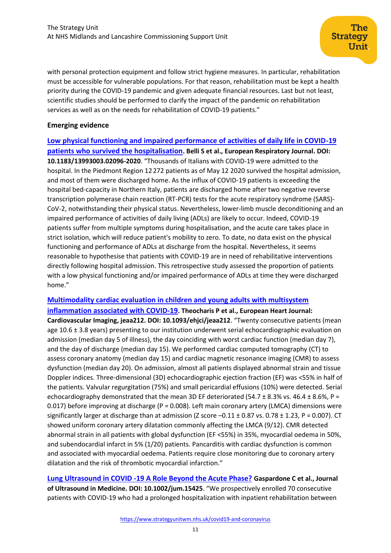with personal protection equipment and follow strict hygiene measures. In particular, rehabilitation must be accessible for vulnerable populations. For that reason, rehabilitation must be kept a health priority during the COVID-19 pandemic and given adequate financial resources. Last but not least, scientific studies should be performed to clarify the impact of the pandemic on rehabilitation services as well as on the needs for rehabilitation of COVID-19 patients."

#### **Emerging evidence**

**[Low physical functioning and impaired performance of activities of daily life in COVID-19](https://erj.ersjournals.com/content/early/2020/07/23/13993003.02096-2020.long)  [patients who survived the hospitalisation](https://erj.ersjournals.com/content/early/2020/07/23/13993003.02096-2020.long). Belli S et al., European Respiratory Journal. DOI: 10.1183/13993003.02096-2020**. "Thousands of Italians with COVID-19 were admitted to the hospital. In the Piedmont Region 12 272 patients as of May 12 2020 survived the hospital admission, and most of them were discharged home. As the influx of COVID-19 patients is exceeding the hospital bed-capacity in Northern Italy, patients are discharged home after two negative reverse transcription polymerase chain reaction (RT-PCR) tests for the acute respiratory syndrome (SARS)- CoV-2, notwithstanding their physical status. Nevertheless, lower-limb muscle deconditioning and an impaired performance of activities of daily living (ADLs) are likely to occur. Indeed, COVID-19 patients suffer from multiple symptoms during hospitalisation, and the acute care takes place in strict isolation, which will reduce patient's mobility to zero. To date, no data exist on the physical functioning and performance of ADLs at discharge from the hospital. Nevertheless, it seems reasonable to hypothesise that patients with COVID-19 are in need of rehabilitative interventions directly following hospital admission. This retrospective study assessed the proportion of patients with a low physical functioning and/or impaired performance of ADLs at time they were discharged home."

## **[Multimodality cardiac evaluation in children and young adults with multisystem](https://academic.oup.com/ehjcimaging/advance-article/doi/10.1093/ehjci/jeaa212/5882094#206206756)  [inflammation associated with COVID-19](https://academic.oup.com/ehjcimaging/advance-article/doi/10.1093/ehjci/jeaa212/5882094#206206756). Theocharis P et al., European Heart Journal:**

**Cardiovascular Imaging, jeaa212. DOI: 10.1093/ehjci/jeaa212**. "Twenty consecutive patients (mean age  $10.6 \pm 3.8$  years) presenting to our institution underwent serial echocardiographic evaluation on admission (median day 5 of illness), the day coinciding with worst cardiac function (median day 7), and the day of discharge (median day 15). We performed cardiac computed tomography (CT) to assess coronary anatomy (median day 15) and cardiac magnetic resonance imaging (CMR) to assess dysfunction (median day 20). On admission, almost all patients displayed abnormal strain and tissue Doppler indices. Three-dimensional (3D) echocardiographic ejection fraction (EF) was <55% in half of the patients. Valvular regurgitation (75%) and small pericardial effusions (10%) were detected. Serial echocardiography demonstrated that the mean 3D EF deteriorated (54.7  $\pm$  8.3% vs. 46.4  $\pm$  8.6%, P = 0.017) before improving at discharge (P = 0.008). Left main coronary artery (LMCA) dimensions were significantly larger at discharge than at admission (Z score  $-0.11 \pm 0.87$  vs. 0.78  $\pm$  1.23, P = 0.007). CT showed uniform coronary artery dilatation commonly affecting the LMCA (9/12). CMR detected abnormal strain in all patients with global dysfunction (EF <55%) in 35%, myocardial oedema in 50%, and subendocardial infarct in 5% (1/20) patients. Pancarditis with cardiac dysfunction is common and associated with myocardial oedema. Patients require close monitoring due to coronary artery dilatation and the risk of thrombotic myocardial infarction."

**[Lung Ultrasound in COVID ‐19 A Role Beyond the Acute Phase?](https://onlinelibrary.wiley.com/doi/full/10.1002/jum.15425) Gaspardone C et al., Journal of Ultrasound in Medicine. DOI: 10.1002/jum.15425**. "We prospectively enrolled 70 consecutive patients with COVID‐19 who had a prolonged hospitalization with inpatient rehabilitation between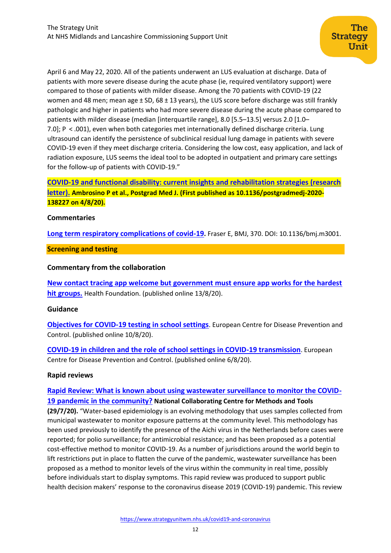April 6 and May 22, 2020. All of the patients underwent an LUS evaluation at discharge. Data of patients with more severe disease during the acute phase (ie, required ventilatory support) were compared to those of patients with milder disease. Among the 70 patients with COVID‐19 (22 women and 48 men; mean age  $\pm$  SD, 68  $\pm$  13 years), the LUS score before discharge was still frankly pathologic and higher in patients who had more severe disease during the acute phase compared to patients with milder disease (median [interquartile range], 8.0 [5.5–13.5] versus 2.0 [1.0– 7.0]; P  < .001), even when both categories met internationally defined discharge criteria. Lung ultrasound can identify the persistence of subclinical residual lung damage in patients with severe COVID‐19 even if they meet discharge criteria. Considering the low cost, easy application, and lack of radiation exposure, LUS seems the ideal tool to be adopted in outpatient and primary care settings for the follow‐up of patients with COVID‐19."

## **[COVID-19 and functional disability: current insights and rehabilitation strategies \(research](https://pmj.bmj.com/content/postgradmedj/early/2020/08/03/postgradmedj-2020-138227.full.pdf)  [letter\).](https://pmj.bmj.com/content/postgradmedj/early/2020/08/03/postgradmedj-2020-138227.full.pdf) Ambrosino P et al., Postgrad Med J. (First published as 10.1136/postgradmedj-2020- 138227 on 4/8/20).**

#### **Commentaries**

**[Long term respiratory complications of covid-19](https://www.bmj.com/content/370/bmj.m3001).** Fraser E, BMJ, 370. DOI: 10.1136/bmj.m3001.

#### <span id="page-11-0"></span>**Screening and testing**

#### **Commentary from the collaboration**

**[New contact tracing app welcome but government must ensure app works for the hardest](https://www.health.org.uk/news-and-comment/news/new-contact-tracing-app-welcome-but-government-must-ensure-a)  [hit groups.](https://www.health.org.uk/news-and-comment/news/new-contact-tracing-app-welcome-but-government-must-ensure-a)** Health Foundation. (published online 13/8/20).

#### **Guidance**

**[Objectives for COVID-19 testing in school settings](https://www.ecdc.europa.eu/en/publications-data/objectives-covid-19-testing-school-settings)**. European Centre for Disease Prevention and Control. (published online 10/8/20).

**[COVID-19 in children and the role of school settings in COVID-19 transmission](https://www.ecdc.europa.eu/en/publications-data/children-and-school-settings-covid-19-transmission)**. European Centre for Disease Prevention and Control. (published online 6/8/20).

#### **Rapid reviews**

## **[Rapid Review: What is known about using wastewater surveillance to monitor the COVID-](https://www.nccmt.ca/uploads/media/media/0001/02/44706b0d3da0a6286d0a06ecfdc8a822efbb9198.pdf)[19 pandemic in the community?](https://www.nccmt.ca/uploads/media/media/0001/02/44706b0d3da0a6286d0a06ecfdc8a822efbb9198.pdf) National Collaborating Centre for Methods and Tools (29/7/20).** "Water-based epidemiology is an evolving methodology that uses samples collected from municipal wastewater to monitor exposure patterns at the community level. This methodology has been used previously to identify the presence of the Aichi virus in the Netherlands before cases were reported; for polio surveillance; for antimicrobial resistance; and has been proposed as a potential cost-effective method to monitor COVID-19. As a number of jurisdictions around the world begin to lift restrictions put in place to flatten the curve of the pandemic, wastewater surveillance has been proposed as a method to monitor levels of the virus within the community in real time, possibly before individuals start to display symptoms. This rapid review was produced to support public health decision makers' response to the coronavirus disease 2019 (COVID-19) pandemic. This review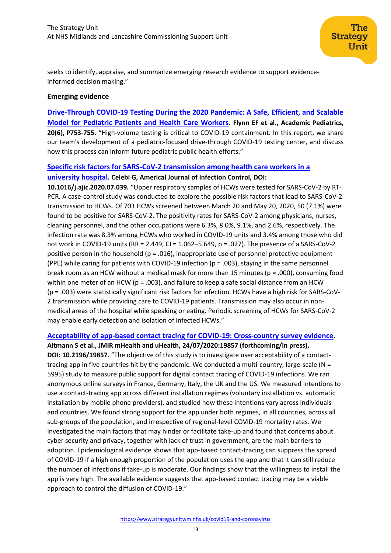seeks to identify, appraise, and summarize emerging research evidence to support evidenceinformed decision making."

#### **Emerging evidence**

**[Drive-Through COVID-19 Testing During the 2020 Pandemic: A Safe, Efficient, and Scalable](https://www.academicpedsjnl.net/article/S1876-2859(20)30205-9/fulltext)  [Model for Pediatric Patients and Health Care Workers](https://www.academicpedsjnl.net/article/S1876-2859(20)30205-9/fulltext). Flynn EF et al., Academic Pediatrics, 20(6), P753-755.** "High-volume testing is critical to COVID-19 containment. In this report, we share our team's development of a pediatric-focused drive-through COVID-19 testing center, and discuss how this process can inform future pediatric public health efforts."

#### **[Specific risk factors for SARS-CoV-2 transmission among health care workers in a](https://www.ajicjournal.org/article/S0196-6553(20)30765-3/fulltext)**

#### **[university hospital](https://www.ajicjournal.org/article/S0196-6553(20)30765-3/fulltext). Celebi G, Americal Journal of Infection Control, DOI:**

**10.1016/j.ajic.2020.07.039.** "Upper respiratory samples of HCWs were tested for SARS-CoV-2 by RT-PCR. A case-control study was conducted to explore the possible risk factors that lead to SARS-CoV-2 transmission to HCWs. Of 703 HCWs screened between March 20 and May 20, 2020, 50 (7.1%) were found to be positive for SARS-CoV-2. The positivity rates for SARS-CoV-2 among physicians, nurses, cleaning personnel, and the other occupations were 6.3%, 8.0%, 9.1%, and 2.6%, respectively. The infection rate was 8.3% among HCWs who worked in COVID-19 units and 3.4% among those who did not work in COVID-19 units (RR = 2.449, CI = 1.062–5.649, p = .027). The presence of a SARS-CoV-2 positive person in the household ( $p = .016$ ), inappropriate use of personnel protective equipment (PPE) while caring for patients with COVID-19 infection (p = .003), staying in the same personnel break room as an HCW without a medical mask for more than 15 minutes (p = .000), consuming food within one meter of an HCW ( $p = .003$ ), and failure to keep a safe social distance from an HCW (p = .003) were statistically significant risk factors for infection. HCWs have a high risk for SARS-CoV-2 transmission while providing care to COVID-19 patients. Transmission may also occur in nonmedical areas of the hospital while speaking or eating. Periodic screening of HCWs for SARS-CoV-2 may enable early detection and isolation of infected HCWs."

## **[Acceptability of app-based contact tracing for COVID-19: Cross-country survey evidence](https://preprints.jmir.org/preprint/19857/accepted).**

**Altmann S et al., JMIR mHealth and uHealth, 24/07/2020:19857 (forthcoming/in press). DOI: 10.2196/19857.** "The objective of this study is to investigate user acceptability of a contacttracing app in five countries hit by the pandemic. We conducted a multi-country, large-scale (N = 5995) study to measure public support for digital contact tracing of COVID-19 infections. We ran anonymous online surveys in France, Germany, Italy, the UK and the US. We measured intentions to use a contact-tracing app across different installation regimes (voluntary installation vs. automatic installation by mobile phone providers), and studied how these intentions vary across individuals and countries. We found strong support for the app under both regimes, in all countries, across all sub-groups of the population, and irrespective of regional-level COVID-19 mortality rates. We investigated the main factors that may hinder or facilitate take-up and found that concerns about cyber security and privacy, together with lack of trust in government, are the main barriers to adoption. Epidemiological evidence shows that app-based contact-tracing can suppress the spread of COVID-19 if a high enough proportion of the population uses the app and that it can still reduce the number of infections if take-up is moderate. Our findings show that the willingness to install the app is very high. The available evidence suggests that app-based contact tracing may be a viable approach to control the diffusion of COVID-19."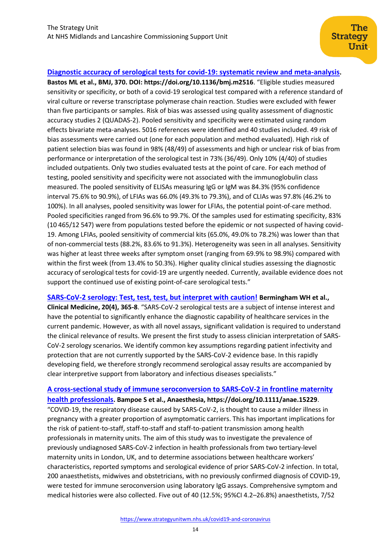#### **[Diagnostic accuracy of serological tests for covid-19: systematic review and meta-analysis](https://www.bmj.com/content/370/bmj.m2516).**

**Bastos ML et al., BMJ, 370. DOI: https://doi.org/10.1136/bmj.m2516**. "Eligible studies measured sensitivity or specificity, or both of a covid-19 serological test compared with a reference standard of viral culture or reverse transcriptase polymerase chain reaction. Studies were excluded with fewer than five participants or samples. Risk of bias was assessed using quality assessment of diagnostic accuracy studies 2 (QUADAS-2). Pooled sensitivity and specificity were estimated using random effects bivariate meta-analyses. 5016 references were identified and 40 studies included. 49 risk of bias assessments were carried out (one for each population and method evaluated). High risk of patient selection bias was found in 98% (48/49) of assessments and high or unclear risk of bias from performance or interpretation of the serological test in 73% (36/49). Only 10% (4/40) of studies included outpatients. Only two studies evaluated tests at the point of care. For each method of testing, pooled sensitivity and specificity were not associated with the immunoglobulin class measured. The pooled sensitivity of ELISAs measuring IgG or IgM was 84.3% (95% confidence interval 75.6% to 90.9%), of LFIAs was 66.0% (49.3% to 79.3%), and of CLIAs was 97.8% (46.2% to 100%). In all analyses, pooled sensitivity was lower for LFIAs, the potential point-of-care method. Pooled specificities ranged from 96.6% to 99.7%. Of the samples used for estimating specificity, 83% (10 465/12 547) were from populations tested before the epidemic or not suspected of having covid-19. Among LFIAs, pooled sensitivity of commercial kits (65.0%, 49.0% to 78.2%) was lower than that of non-commercial tests (88.2%, 83.6% to 91.3%). Heterogeneity was seen in all analyses. Sensitivity was higher at least three weeks after symptom onset (ranging from 69.9% to 98.9%) compared with within the first week (from 13.4% to 50.3%). Higher quality clinical studies assessing the diagnostic accuracy of serological tests for covid-19 are urgently needed. Currently, available evidence does not support the continued use of existing point-of-care serological tests."

**[SARS-CoV-2 serology: Test, test, test, but interpret with caution!](https://www.ncbi.nlm.nih.gov/pmc/articles/PMC7385809/) Bermingham WH et al., Clinical Medicine, 20(4), 365-8**. "SARS-CoV-2 serological tests are a subject of intense interest and have the potential to significantly enhance the diagnostic capability of healthcare services in the current pandemic. However, as with all novel assays, significant validation is required to understand the clinical relevance of results. We present the first study to assess clinician interpretation of SARS-CoV-2 serology scenarios. We identify common key assumptions regarding patient infectivity and protection that are not currently supported by the SARS-CoV-2 evidence base. In this rapidly developing field, we therefore strongly recommend serological assay results are accompanied by clear interpretive support from laboratory and infectious diseases specialists."

## **[A cross‐sectional study of immune seroconversion to SARS‐CoV‐2 in frontline maternity](https://onlinelibrary.wiley.com/doi/full/10.1111/anae.15229)  [health professionals](https://onlinelibrary.wiley.com/doi/full/10.1111/anae.15229). Bampoe S et al., Anaesthesia, https://doi.org/10.1111/anae.15229**.

"COVID‐19, the respiratory disease caused by SARS‐CoV‐2, is thought to cause a milder illness in pregnancy with a greater proportion of asymptomatic carriers. This has important implications for the risk of patient-to-staff, staff-to-staff and staff-to-patient transmission among health professionals in maternity units. The aim of this study was to investigate the prevalence of previously undiagnosed SARS‐CoV‐2 infection in health professionals from two tertiary‐level maternity units in London, UK, and to determine associations between healthcare workers' characteristics, reported symptoms and serological evidence of prior SARS‐CoV‐2 infection. In total, 200 anaesthetists, midwives and obstetricians, with no previously confirmed diagnosis of COVID‐19, were tested for immune seroconversion using laboratory IgG assays. Comprehensive symptom and medical histories were also collected. Five out of 40 (12.5%; 95%CI 4.2–26.8%) anaesthetists, 7/52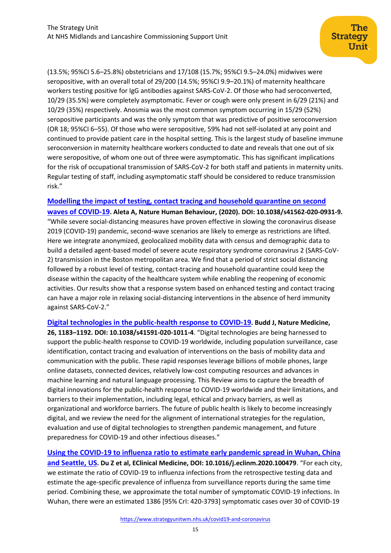(13.5%; 95%CI 5.6–25.8%) obstetricians and 17/108 (15.7%; 95%CI 9.5–24.0%) midwives were seropositive, with an overall total of 29/200 (14.5%; 95%CI 9.9–20.1%) of maternity healthcare workers testing positive for IgG antibodies against SARS‐CoV‐2. Of those who had seroconverted, 10/29 (35.5%) were completely asymptomatic. Fever or cough were only present in 6/29 (21%) and 10/29 (35%) respectively. Anosmia was the most common symptom occurring in 15/29 (52%) seropositive participants and was the only symptom that was predictive of positive seroconversion (OR 18; 95%CI 6–55). Of those who were seropositive, 59% had not self‐isolated at any point and continued to provide patient care in the hospital setting. This is the largest study of baseline immune seroconversion in maternity healthcare workers conducted to date and reveals that one out of six were seropositive, of whom one out of three were asymptomatic. This has significant implications for the risk of occupational transmission of SARS-CoV-2 for both staff and patients in maternity units. Regular testing of staff, including asymptomatic staff should be considered to reduce transmission risk."

#### **[Modelling the impact of testing, contact tracing and household quarantine on second](https://www.nature.com/articles/s41562-020-0931-9)**

**[waves of COVID-19](https://www.nature.com/articles/s41562-020-0931-9). Aleta A, Nature Human Behaviour, (2020). DOI: 10.1038/s41562-020-0931-9.** "While severe social-distancing measures have proven effective in slowing the coronavirus disease 2019 (COVID-19) pandemic, second-wave scenarios are likely to emerge as restrictions are lifted. Here we integrate anonymized, geolocalized mobility data with census and demographic data to build a detailed agent-based model of severe acute respiratory syndrome coronavirus 2 (SARS-CoV-2) transmission in the Boston metropolitan area. We find that a period of strict social distancing followed by a robust level of testing, contact-tracing and household quarantine could keep the disease within the capacity of the healthcare system while enabling the reopening of economic activities. Our results show that a response system based on enhanced testing and contact tracing can have a major role in relaxing social-distancing interventions in the absence of herd immunity against SARS-CoV-2."

**[Digital technologies in the public-health response to COVID-19](https://www.nature.com/articles/s41591-020-1011-4). Budd J, Nature Medicine, 26, 1183–1192. DOI: 10.1038/s41591-020-1011-4**. "Digital technologies are being harnessed to support the public-health response to COVID-19 worldwide, including population surveillance, case identification, contact tracing and evaluation of interventions on the basis of mobility data and communication with the public. These rapid responses leverage billions of mobile phones, large online datasets, connected devices, relatively low-cost computing resources and advances in machine learning and natural language processing. This Review aims to capture the breadth of digital innovations for the public-health response to COVID-19 worldwide and their limitations, and barriers to their implementation, including legal, ethical and privacy barriers, as well as organizational and workforce barriers. The future of public health is likely to become increasingly digital, and we review the need for the alignment of international strategies for the regulation, evaluation and use of digital technologies to strengthen pandemic management, and future preparedness for COVID-19 and other infectious diseases."

**[Using the COVID-19 to influenza ratio to estimate early pandemic spread in Wuhan, China](https://www.thelancet.com/journals/eclinm/article/PIIS2589-5370(20)30223-6/fulltext#seccesectitle0025)  [and Seattle, US](https://www.thelancet.com/journals/eclinm/article/PIIS2589-5370(20)30223-6/fulltext#seccesectitle0025). Du Z et al, EClinical Medicine, DOI: 10.1016/j.eclinm.2020.100479**. "For each city, we estimate the ratio of COVID-19 to influenza infections from the retrospective testing data and estimate the age-specific prevalence of influenza from surveillance reports during the same time period. Combining these, we approximate the total number of symptomatic COVID-19 infections. In Wuhan, there were an estimated 1386 [95% CrI: 420-3793] symptomatic cases over 30 of COVID-19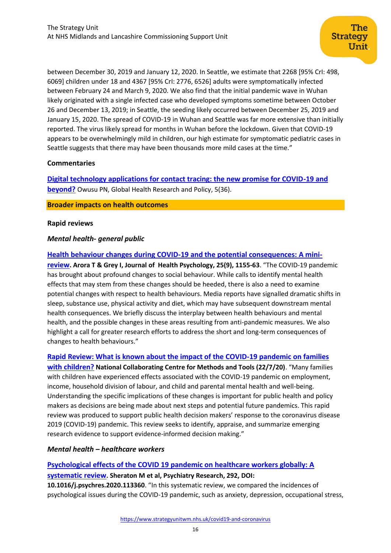between December 30, 2019 and January 12, 2020. In Seattle, we estimate that 2268 [95% CrI: 498, 6069] children under 18 and 4367 [95% CrI: 2776, 6526] adults were symptomatically infected between February 24 and March 9, 2020. We also find that the initial pandemic wave in Wuhan likely originated with a single infected case who developed symptoms sometime between October 26 and December 13, 2019; in Seattle, the seeding likely occurred between December 25, 2019 and January 15, 2020. The spread of COVID-19 in Wuhan and Seattle was far more extensive than initially reported. The virus likely spread for months in Wuhan before the lockdown. Given that COVID-19 appears to be overwhelmingly mild in children, our high estimate for symptomatic pediatric cases in Seattle suggests that there may have been thousands more mild cases at the time."

#### **Commentaries**

**[Digital technology applications for contact tracing: the new promise for COVID-19 and](https://link.springer.com/article/10.1186/s41256-020-00164-1)  [beyond?](https://link.springer.com/article/10.1186/s41256-020-00164-1)** Owusu PN, Global Health Research and Policy, 5(36).

#### <span id="page-15-0"></span>**Broader impacts on health outcomes**

#### **Rapid reviews**

#### *Mental health- general public*

**[Health behaviour changes during COVID-19 and the potential consequences: A mini](https://journals.sagepub.com/doi/pdf/10.1177/1359105320937053)[review](https://journals.sagepub.com/doi/pdf/10.1177/1359105320937053). Arora T & Grey I, Journal of Health Psychology, 25(9), 1155-63**. "The COVID-19 pandemic has brought about profound changes to social behaviour. While calls to identify mental health effects that may stem from these changes should be heeded, there is also a need to examine potential changes with respect to health behaviours. Media reports have signalled dramatic shifts in sleep, substance use, physical activity and diet, which may have subsequent downstream mental health consequences. We briefly discuss the interplay between health behaviours and mental health, and the possible changes in these areas resulting from anti-pandemic measures. We also highlight a call for greater research efforts to address the short and long-term consequences of changes to health behaviours."

#### **[Rapid Review: What is known about the impact of the COVID-19 pandemic on families](https://www.nccmt.ca/uploads/media/media/0001/02/4fe4aca839e4a1bf3d8aa66e4dbc000ba4550b5c.pdf)**

**[with children?](https://www.nccmt.ca/uploads/media/media/0001/02/4fe4aca839e4a1bf3d8aa66e4dbc000ba4550b5c.pdf) National Collaborating Centre for Methods and Tools (22/7/20)**. "Many families with children have experienced effects associated with the COVID-19 pandemic on employment, income, household division of labour, and child and parental mental health and well-being. Understanding the specific implications of these changes is important for public health and policy makers as decisions are being made about next steps and potential future pandemics. This rapid review was produced to support public health decision makers' response to the coronavirus disease 2019 (COVID-19) pandemic. This review seeks to identify, appraise, and summarize emerging research evidence to support evidence-informed decision making."

#### *Mental health – healthcare workers*

#### **[Psychological effects of the COVID 19 pandemic on healthcare workers globally: A](https://www.sciencedirect.com/science/article/pii/S0165178120324987)**

**[systematic review](https://www.sciencedirect.com/science/article/pii/S0165178120324987). Sheraton M et al, Psychiatry Research, 292, DOI:**

**10.1016/j.psychres.2020.113360**. "In this systematic review, we compared the incidences of psychological issues during the COVID-19 pandemic, such as anxiety, depression, occupational stress,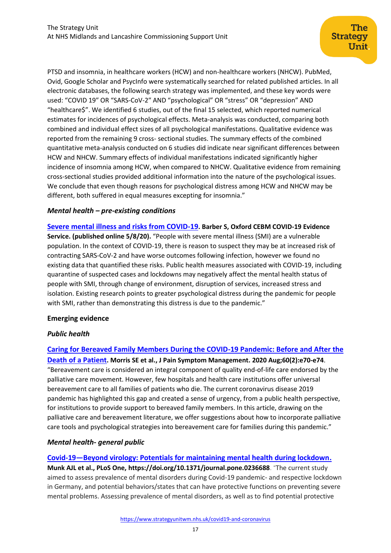PTSD and insomnia, in healthcare workers (HCW) and non-healthcare workers (NHCW). PubMed, Ovid, Google Scholar and PsycInfo were systematically searched for related published articles. In all electronic databases, the following search strategy was implemented, and these key words were used: "COVID 19″ OR "SARS-CoV-2″ AND "psychological" OR "stress" OR "depression" AND "healthcare\$". We identified 6 studies, out of the final 15 selected, which reported numerical estimates for incidences of psychological effects. Meta-analysis was conducted, comparing both combined and individual effect sizes of all psychological manifestations. Qualitative evidence was reported from the remaining 9 cross- sectional studies. The summary effects of the combined quantitative meta-analysis conducted on 6 studies did indicate near significant differences between HCW and NHCW. Summary effects of individual manifestations indicated significantly higher incidence of insomnia among HCW, when compared to NHCW. Qualitative evidence from remaining cross-sectional studies provided additional information into the nature of the psychological issues. We conclude that even though reasons for psychological distress among HCW and NHCW may be different, both suffered in equal measures excepting for insomnia."

#### *Mental health – pre-existing conditions*

**[Severe mental illness and risks from COVID-19](https://www.cebm.net/covid-19/severe-mental-illness-and-risks-from-covid-19/). Barber S, Oxford CEBM COVID-19 Evidence Service. (published online 5/8/20).** "People with severe mental illness (SMI) are a vulnerable population. In the context of COVID-19, there is reason to suspect they may be at increased risk of contracting SARS-CoV-2 and have worse outcomes following infection, however we found no existing data that quantified these risks. Public health measures associated with COVID-19, including quarantine of suspected cases and lockdowns may negatively affect the mental health status of people with SMI, through change of environment, disruption of services, increased stress and isolation. Existing research points to greater psychological distress during the pandemic for people with SMI, rather than demonstrating this distress is due to the pandemic."

#### **Emerging evidence**

#### *Public health*

## **[Caring for Bereaved Family Members During the COVID-19 Pandemic: Before and After the](https://www.ncbi.nlm.nih.gov/pmc/articles/PMC7204689/)**

**[Death of a Patient](https://www.ncbi.nlm.nih.gov/pmc/articles/PMC7204689/). Morris SE et al., J Pain Symptom Management. 2020 Aug;60(2):e70-e74**. "Bereavement care is considered an integral component of quality end-of-life care endorsed by the palliative care movement. However, few hospitals and health care institutions offer universal bereavement care to all families of patients who die. The current coronavirus disease 2019 pandemic has highlighted this gap and created a sense of urgency, from a public health perspective, for institutions to provide support to bereaved family members. In this article, drawing on the palliative care and bereavement literature, we offer suggestions about how to incorporate palliative care tools and psychological strategies into bereavement care for families during this pandemic."

#### *Mental health- general public*

#### **Covid-19—[Beyond virology: Potentials for maintaining mental health during lockdown.](https://journals.plos.org/plosone/article?id=10.1371/journal.pone.0236688#sec021)**

**Munk AJL et al., PLoS One, https://doi.org/10.1371/journal.pone.0236688**. "The current study aimed to assess prevalence of mental disorders during Covid-19 pandemic- and respective lockdown in Germany, and potential behaviors/states that can have protective functions on preventing severe mental problems. Assessing prevalence of mental disorders, as well as to find potential protective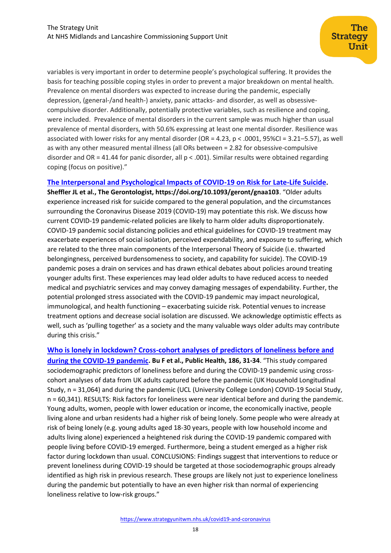variables is very important in order to determine people's psychological suffering. It provides the basis for teaching possible coping styles in order to prevent a major breakdown on mental health. Prevalence on mental disorders was expected to increase during the pandemic, especially depression, (general-/and health-) anxiety, panic attacks- and disorder, as well as obsessivecompulsive disorder. Additionally, potentially protective variables, such as resilience and coping, were included. Prevalence of mental disorders in the current sample was much higher than usual prevalence of mental disorders, with 50.6% expressing at least one mental disorder. Resilience was associated with lower risks for any mental disorder (OR = 4.23, p < .0001, 95%CI = 3.21–5.57), as well as with any other measured mental illness (all ORs between = 2.82 for obsessive-compulsive disorder and OR = 41.44 for panic disorder, all p < .001). Similar results were obtained regarding coping (focus on positive)."

#### **[The Interpersonal and Psychological Impacts of COVID-19 on Risk for Late-Life Suicide](https://academic.oup.com/gerontologist/advance-article/doi/10.1093/geront/gnaa103/5885118).**

**Sheffler JL et al., The Gerontologist, https://doi.org/10.1093/geront/gnaa103**. "Older adults experience increased risk for suicide compared to the general population, and the circumstances surrounding the Coronavirus Disease 2019 (COVID-19) may potentiate this risk. We discuss how current COVID-19 pandemic-related policies are likely to harm older adults disproportionately. COVID-19 pandemic social distancing policies and ethical guidelines for COVID-19 treatment may exacerbate experiences of social isolation, perceived expendability, and exposure to suffering, which are related to the three main components of the Interpersonal Theory of Suicide (i.e. thwarted belongingness, perceived burdensomeness to society, and capability for suicide). The COVID-19 pandemic poses a drain on services and has drawn ethical debates about policies around treating younger adults first. These experiences may lead older adults to have reduced access to needed medical and psychiatric services and may convey damaging messages of expendability. Further, the potential prolonged stress associated with the COVID-19 pandemic may impact neurological, immunological, and health functioning – exacerbating suicide risk. Potential venues to increase treatment options and decrease social isolation are discussed. We acknowledge optimistic effects as well, such as 'pulling together' as a society and the many valuable ways older adults may contribute during this crisis."

**Who is [lonely in lockdown? Cross-cohort analyses of predictors of loneliness before and](https://www.sciencedirect.com/science/article/pii/S0033350620302742?via%3Dihub)  [during the COVID-19 pandemic](https://www.sciencedirect.com/science/article/pii/S0033350620302742?via%3Dihub). Bu F et al., Public Health, 186, 31-34**. "This study compared sociodemographic predictors of loneliness before and during the COVID-19 pandemic using crosscohort analyses of data from UK adults captured before the pandemic (UK Household Longitudinal Study, n = 31,064) and during the pandemic (UCL (University College London) COVID-19 Social Study, n = 60,341). RESULTS: Risk factors for loneliness were near identical before and during the pandemic. Young adults, women, people with lower education or income, the economically inactive, people living alone and urban residents had a higher risk of being lonely. Some people who were already at risk of being lonely (e.g. young adults aged 18-30 years, people with low household income and adults living alone) experienced a heightened risk during the COVID-19 pandemic compared with people living before COVID-19 emerged. Furthermore, being a student emerged as a higher risk factor during lockdown than usual. CONCLUSIONS: Findings suggest that interventions to reduce or prevent loneliness during COVID-19 should be targeted at those sociodemographic groups already identified as high risk in previous research. These groups are likely not just to experience loneliness during the pandemic but potentially to have an even higher risk than normal of experiencing loneliness relative to low-risk groups."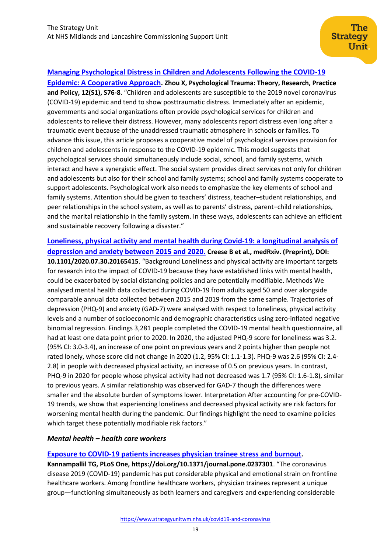## **[Managing Psychological Distress in Children and Adolescents Following the COVID-19](https://psycnet.apa.org/fulltext/2020-43039-001.html)**

**[Epidemic: A Cooperative Approach](https://psycnet.apa.org/fulltext/2020-43039-001.html). Zhou X, Psychological Trauma: Theory, Research, Practice and Policy, 12(S1), S76-8**. "Children and adolescents are susceptible to the 2019 novel coronavirus (COVID-19) epidemic and tend to show posttraumatic distress. Immediately after an epidemic, governments and social organizations often provide psychological services for children and adolescents to relieve their distress. However, many adolescents report distress even long after a traumatic event because of the unaddressed traumatic atmosphere in schools or families. To advance this issue, this article proposes a cooperative model of psychological services provision for children and adolescents in response to the COVID-19 epidemic. This model suggests that psychological services should simultaneously include social, school, and family systems, which interact and have a synergistic effect. The social system provides direct services not only for children and adolescents but also for their school and family systems; school and family systems cooperate to support adolescents. Psychological work also needs to emphasize the key elements of school and family systems. Attention should be given to teachers' distress, teacher–student relationships, and peer relationships in the school system, as well as to parents' distress, parent–child relationships, and the marital relationship in the family system. In these ways, adolescents can achieve an efficient and sustainable recovery following a disaster."

**[Loneliness, physical activity and mental health during Covid-19: a longitudinal analysis of](https://www.medrxiv.org/content/10.1101/2020.07.30.20165415v1)  [depression and anxiety between 2015 and 2020.](https://www.medrxiv.org/content/10.1101/2020.07.30.20165415v1) Creese B et al., medRxiv. (Preprint), DOI: 10.1101/2020.07.30.20165415**. "Background Loneliness and physical activity are important targets for research into the impact of COVID-19 because they have established links with mental health, could be exacerbated by social distancing policies and are potentially modifiable. Methods We analysed mental health data collected during COVID-19 from adults aged 50 and over alongside comparable annual data collected between 2015 and 2019 from the same sample. Trajectories of depression (PHQ-9) and anxiety (GAD-7) were analysed with respect to loneliness, physical activity levels and a number of socioeconomic and demographic characteristics using zero-inflated negative binomial regression. Findings 3,281 people completed the COVID-19 mental health questionnaire, all had at least one data point prior to 2020. In 2020, the adjusted PHQ-9 score for loneliness was 3.2. (95% CI: 3.0-3.4), an increase of one point on previous years and 2 points higher than people not rated lonely, whose score did not change in 2020 (1.2, 95% CI: 1.1-1.3). PHQ-9 was 2.6 (95% CI: 2.4- 2.8) in people with decreased physical activity, an increase of 0.5 on previous years. In contrast, PHQ-9 in 2020 for people whose physical activity had not decreased was 1.7 (95% CI: 1.6-1.8), similar to previous years. A similar relationship was observed for GAD-7 though the differences were smaller and the absolute burden of symptoms lower. Interpretation After accounting for pre-COVID-19 trends, we show that experiencing loneliness and decreased physical activity are risk factors for worsening mental health during the pandemic. Our findings highlight the need to examine policies which target these potentially modifiable risk factors."

#### *Mental health – health care workers*

#### **[Exposure to COVID-19 patients increases physician trainee stress and burnout](https://journals.plos.org/plosone/article?id=10.1371/journal.pone.0237301).**

**Kannampallil TG, PLoS One, https://doi.org/10.1371/journal.pone.0237301**. "The coronavirus disease 2019 (COVID-19) pandemic has put considerable physical and emotional strain on frontline healthcare workers. Among frontline healthcare workers, physician trainees represent a unique group—functioning simultaneously as both learners and caregivers and experiencing considerable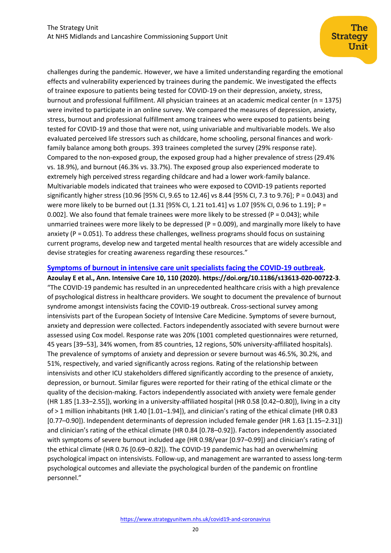challenges during the pandemic. However, we have a limited understanding regarding the emotional effects and vulnerability experienced by trainees during the pandemic. We investigated the effects of trainee exposure to patients being tested for COVID-19 on their depression, anxiety, stress, burnout and professional fulfillment. All physician trainees at an academic medical center (n = 1375) were invited to participate in an online survey. We compared the measures of depression, anxiety, stress, burnout and professional fulfillment among trainees who were exposed to patients being tested for COVID-19 and those that were not, using univariable and multivariable models. We also evaluated perceived life stressors such as childcare, home schooling, personal finances and workfamily balance among both groups. 393 trainees completed the survey (29% response rate). Compared to the non-exposed group, the exposed group had a higher prevalence of stress (29.4% vs. 18.9%), and burnout (46.3% vs. 33.7%). The exposed group also experienced moderate to extremely high perceived stress regarding childcare and had a lower work-family balance. Multivariable models indicated that trainees who were exposed to COVID-19 patients reported significantly higher stress (10.96 [95% CI, 9.65 to 12.46] vs 8.44 [95% CI, 7.3 to 9.76]; P = 0.043) and were more likely to be burned out (1.31 [95% Cl, 1.21 to1.41] vs 1.07 [95% Cl, 0.96 to 1.19]; P = 0.002]. We also found that female trainees were more likely to be stressed (P = 0.043); while unmarried trainees were more likely to be depressed ( $P = 0.009$ ), and marginally more likely to have anxiety ( $P = 0.051$ ). To address these challenges, wellness programs should focus on sustaining current programs, develop new and targeted mental health resources that are widely accessible and devise strategies for creating awareness regarding these resources."

#### **[Symptoms of burnout in intensive care unit specialists facing the COVID-19 outbreak](https://link.springer.com/article/10.1186/s13613-020-00722-3).**

**Azoulay E et al., Ann. Intensive Care 10, 110 (2020). https://doi.org/10.1186/s13613-020-00722-3**. "The COVID-19 pandemic has resulted in an unprecedented healthcare crisis with a high prevalence of psychological distress in healthcare providers. We sought to document the prevalence of burnout syndrome amongst intensivists facing the COVID-19 outbreak. Cross-sectional survey among intensivists part of the European Society of Intensive Care Medicine. Symptoms of severe burnout, anxiety and depression were collected. Factors independently associated with severe burnout were assessed using Cox model. Response rate was 20% (1001 completed questionnaires were returned, 45 years [39–53], 34% women, from 85 countries, 12 regions, 50% university-affiliated hospitals). The prevalence of symptoms of anxiety and depression or severe burnout was 46.5%, 30.2%, and 51%, respectively, and varied significantly across regions. Rating of the relationship between intensivists and other ICU stakeholders differed significantly according to the presence of anxiety, depression, or burnout. Similar figures were reported for their rating of the ethical climate or the quality of the decision-making. Factors independently associated with anxiety were female gender (HR 1.85 [1.33–2.55]), working in a university-affiliated hospital (HR 0.58 [0.42–0.80]), living in a city of > 1 million inhabitants (HR 1.40 [1.01–1.94]), and clinician's rating of the ethical climate (HR 0.83 [0.77–0.90]). Independent determinants of depression included female gender (HR 1.63 [1.15–2.31]) and clinician's rating of the ethical climate (HR 0.84 [0.78–0.92]). Factors independently associated with symptoms of severe burnout included age (HR 0.98/year [0.97–0.99]) and clinician's rating of the ethical climate (HR 0.76 [0.69–0.82]). The COVID-19 pandemic has had an overwhelming psychological impact on intensivists. Follow-up, and management are warranted to assess long-term psychological outcomes and alleviate the psychological burden of the pandemic on frontline personnel."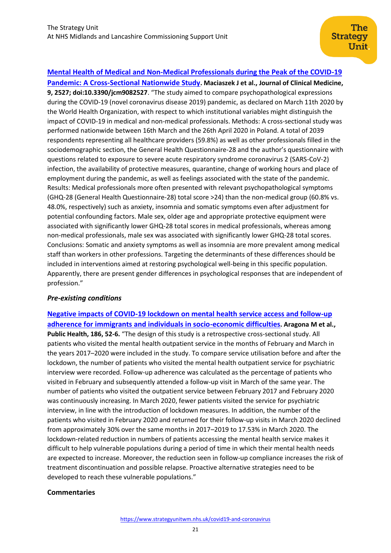## **[Mental Health of Medical and Non-Medical Professionals during the Peak of the COVID-19](https://www.mdpi.com/2077-0383/9/8/2527/pdf&hl=en&sa=X&d=2850427190773920124&scisig=AAGBfm1bz_1qGopNn5yWM1NhqbX-QQJ7Og&nossl=1&oi=scholaralrt&html=)**

**[Pandemic: A Cross-Sectional Nationwide Study](https://www.mdpi.com/2077-0383/9/8/2527/pdf&hl=en&sa=X&d=2850427190773920124&scisig=AAGBfm1bz_1qGopNn5yWM1NhqbX-QQJ7Og&nossl=1&oi=scholaralrt&html=). Maciaszek J et al., Journal of Clinical Medicine, 9, 2527; doi:10.3390/jcm9082527**. "The study aimed to compare psychopathological expressions during the COVID-19 (novel coronavirus disease 2019) pandemic, as declared on March 11th 2020 by the World Health Organization, with respect to which institutional variables might distinguish the impact of COVID-19 in medical and non-medical professionals. Methods: A cross-sectional study was performed nationwide between 16th March and the 26th April 2020 in Poland. A total of 2039 respondents representing all healthcare providers (59.8%) as well as other professionals filled in the sociodemographic section, the General Health Questionnaire-28 and the author's questionnaire with questions related to exposure to severe acute respiratory syndrome coronavirus 2 (SARS-CoV-2) infection, the availability of protective measures, quarantine, change of working hours and place of employment during the pandemic, as well as feelings associated with the state of the pandemic. Results: Medical professionals more often presented with relevant psychopathological symptoms (GHQ-28 (General Health Questionnaire-28) total score >24) than the non-medical group (60.8% vs. 48.0%, respectively) such as anxiety, insomnia and somatic symptoms even after adjustment for potential confounding factors. Male sex, older age and appropriate protective equipment were associated with significantly lower GHQ-28 total scores in medical professionals, whereas among non-medical professionals, male sex was associated with significantly lower GHQ-28 total scores. Conclusions: Somatic and anxiety symptoms as well as insomnia are more prevalent among medical staff than workers in other professions. Targeting the determinants of these differences should be included in interventions aimed at restoring psychological well-being in this specific population. Apparently, there are present gender differences in psychological responses that are independent of profession."

#### *Pre-existing conditions*

**[Negative impacts of COVID-19 lockdown on mental health service access and follow-up](https://www.sciencedirect.com/science/article/pii/S0033350620302936)  [adherence for immigrants and individuals in socio-economic difficulties](https://www.sciencedirect.com/science/article/pii/S0033350620302936). Aragona M et al., Public Health, 186, 52-6.** "The design of this study is a retrospective cross-sectional study. All patients who visited the mental health outpatient service in the months of February and March in the years 2017–2020 were included in the study. To compare service utilisation before and after the lockdown, the number of patients who visited the mental health outpatient service for psychiatric interview were recorded. Follow-up adherence was calculated as the percentage of patients who visited in February and subsequently attended a follow-up visit in March of the same year. The number of patients who visited the outpatient service between February 2017 and February 2020 was continuously increasing. In March 2020, fewer patients visited the service for psychiatric interview, in line with the introduction of lockdown measures. In addition, the number of the patients who visited in February 2020 and returned for their follow-up visits in March 2020 declined from approximately 30% over the same months in 2017–2019 to 17.53% in March 2020. The lockdown-related reduction in numbers of patients accessing the mental health service makes it difficult to help vulnerable populations during a period of time in which their mental health needs are expected to increase. Moreover, the reduction seen in follow-up compliance increases the risk of treatment discontinuation and possible relapse. Proactive alternative strategies need to be developed to reach these vulnerable populations."

#### **Commentaries**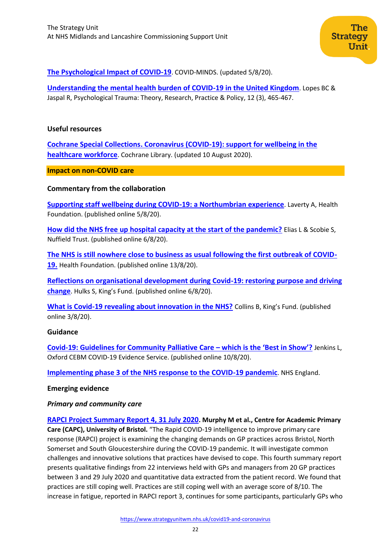

**[The Psychological Impact of COVID-19](https://www.covidminds.org/post/the-psychological-impact-of-covid-19-what-we-know-so-far)**. COVID-MINDS. (updated 5/8/20).

**[Understanding the mental health burden of COVID-19 in the United Kingdom](http://irep.ntu.ac.uk/id/eprint/39878/1/1327129_Jaspal.pdf)**. Lopes BC & Jaspal R, Psychological Trauma: Theory, Research, Practice & Policy, 12 (3), 465-467.

#### **Useful resources**

**Cochrane [Special Collections. Coronavirus \(COVID-19\): support for wellbeing in the](https://www.cochranelibrary.com/collections/doi/SC000045/full)  [healthcare workforce](https://www.cochranelibrary.com/collections/doi/SC000045/full)**. Cochrane Library. (updated 10 August 2020).

**Impact on non-COVID care**

#### **Commentary from the collaboration**

**[Supporting staff wellbeing during COVID-19: a Northumbrian experience](https://www.health.org.uk/news-and-comment/blogs/supporting-staff-wellbeing-during-covid-19-a-northumbrian-experience)**. Laverty A, Health Foundation. (published online 5/8/20).

**[How did the NHS free up hospital capacity at the start of the pandemic?](https://www.nuffieldtrust.org.uk/news-item/how-did-the-nhs-free-up-hospital-capacity-at-the-start-of-the-pandemic-and-what-does-this-mean-for-future-outbreaks)** Elias L & Scobie S, Nuffield Trust. (published online 6/8/20).

**[The NHS is still nowhere close to business as usual following the first outbreak of COVID-](https://www.health.org.uk/news-and-comment/news/the-nhs-is-still-nowhere-close-to-business-as-usual-following-the-first-covid-19-outbreak)[19.](https://www.health.org.uk/news-and-comment/news/the-nhs-is-still-nowhere-close-to-business-as-usual-following-the-first-covid-19-outbreak)** Health Foundation. (published online 13/8/20).

**[Reflections on organisational development during Covid-19:](https://www.kingsfund.org.uk/blog/2020/08/organisational-development-during-covid-19) restoring purpose and driving [change](https://www.kingsfund.org.uk/blog/2020/08/organisational-development-during-covid-19)**. Hulks S, King's Fund. (published online 6/8/20).

**[What is Covid-19 revealing about innovation in the NHS?](https://www.kingsfund.org.uk/blog/2020/08/covid-19-innovation-nhs)** Collins B, King's Fund. (published online 3/8/20).

#### **Guidance**

**[Covid-19: Guidelines for Community Palliative Care](https://www.cebm.net/covid-19/covid-19-guidelines-for-community-palliative-care-which-is-the-best-in-show/) – which is the 'Best in Show'?** Jenkins L, Oxford CEBM COVID-19 Evidence Service. (published online 10/8/20).

**[Implementing phase 3 of the NHS response to the COVID-19 pandemic](https://www.england.nhs.uk/wp-content/uploads/2020/08/implementing-phase-3-of-the-nhs-response-to-covid-19.pdf)**. NHS England.

#### **Emerging evidence**

#### *Primary and community care*

**[RAPCI Project Summary Report 4, 31 July 2020](https://arc-w.nihr.ac.uk/research-and-implementation/covid-19-response/reports/investigating-changing-demands-on-primary-care-during-covid-19-summary-report-4/). Murphy M et al., Centre for Academic Primary Care (CAPC), University of Bristol.** "The Rapid COVID-19 intelligence to improve primary care response (RAPCI) project is examining the changing demands on GP practices across Bristol, North Somerset and South Gloucestershire during the COVID-19 pandemic. It will investigate common challenges and innovative solutions that practices have devised to cope. This fourth summary report presents qualitative findings from 22 interviews held with GPs and managers from 20 GP practices between 3 and 29 July 2020 and quantitative data extracted from the patient record. We found that practices are still coping well. Practices are still coping well with an average score of 8/10. The increase in fatigue, reported in RAPCI report 3, continues for some participants, particularly GPs who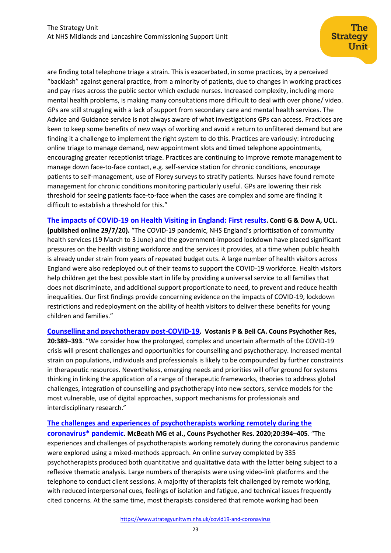are finding total telephone triage a strain. This is exacerbated, in some practices, by a perceived "backlash" against general practice, from a minority of patients, due to changes in working practices and pay rises across the public sector which exclude nurses. Increased complexity, including more mental health problems, is making many consultations more difficult to deal with over phone/ video. GPs are still struggling with a lack of support from secondary care and mental health services. The Advice and Guidance service is not always aware of what investigations GPs can access. Practices are keen to keep some benefits of new ways of working and avoid a return to unfiltered demand but are finding it a challenge to implement the right system to do this. Practices are variously: introducing online triage to manage demand, new appointment slots and timed telephone appointments, encouraging greater receptionist triage. Practices are continuing to improve remote management to manage down face-to-face contact, e.g. self-service station for chronic conditions, encourage patients to self-management, use of Florey surveys to stratify patients. Nurses have found remote management for chronic conditions monitoring particularly useful. GPs are lowering their risk threshold for seeing patients face-to-face when the cases are complex and some are finding it difficult to establish a threshold for this."

**[The impacts of COVID-19 on Health Visiting in England: First results](https://discovery.ucl.ac.uk/id/eprint/10106430/1/Conti_Dow_The%20impacts%20of%20COVID-19%20on%20Health%20Visiting%20in%20the%20UK-POSTED.pdf). Conti G & Dow A, UCL. (published online 29/7/20).** "The COVID-19 pandemic, NHS England's prioritisation of community health services (19 March to 3 June) and the government-imposed lockdown have placed significant pressures on the health visiting workforce and the services it provides, at a time when public health is already under strain from years of repeated budget cuts. A large number of health visitors across England were also redeployed out of their teams to support the COVID-19 workforce. Health visitors help children get the best possible start in life by providing a universal service to all families that does not discriminate, and additional support proportionate to need, to prevent and reduce health inequalities. Our first findings provide concerning evidence on the impacts of COVID-19, lockdown restrictions and redeployment on the ability of health visitors to deliver these benefits for young children and families."

**[Counselling and psychotherapy post-COVID-19](https://onlinelibrary.wiley.com/doi/pdfdirect/10.1002/capr.12325). Vostanis P & Bell CA. Couns Psychother Res, 20:389–393**. "We consider how the prolonged, complex and uncertain aftermath of the COVID-19 crisis will present challenges and opportunities for counselling and psychotherapy. Increased mental strain on populations, individuals and professionals is likely to be compounded by further constraints in therapeutic resources. Nevertheless, emerging needs and priorities will offer ground for systems thinking in linking the application of a range of therapeutic frameworks, theories to address global challenges, integration of counselling and psychotherapy into new sectors, service models for the most vulnerable, use of digital approaches, support mechanisms for professionals and interdisciplinary research."

#### **[The challenges and experiences of psychotherapists working remotely during the](https://onlinelibrary.wiley.com/doi/pdfdirect/10.1002/capr.12326)**

**[coronavirus\\* pandemic](https://onlinelibrary.wiley.com/doi/pdfdirect/10.1002/capr.12326). McBeath MG et al., Couns Psychother Res. 2020;20:394–405**. "The experiences and challenges of psychotherapists working remotely during the coronavirus pandemic were explored using a mixed-methods approach. An online survey completed by 335 psychotherapists produced both quantitative and qualitative data with the latter being subject to a reflexive thematic analysis. Large numbers of therapists were using video-link platforms and the telephone to conduct client sessions. A majority of therapists felt challenged by remote working, with reduced interpersonal cues, feelings of isolation and fatigue, and technical issues frequently cited concerns. At the same time, most therapists considered that remote working had been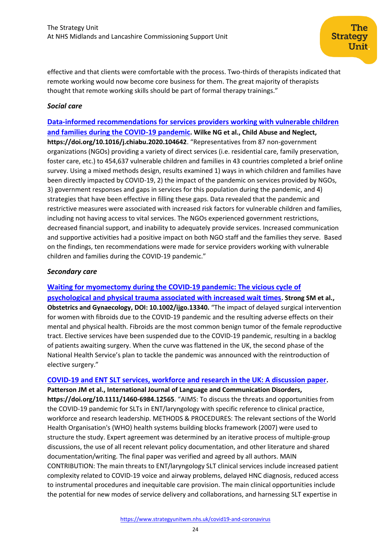The

Unit.

**Strategy** 

#### *Social care*

**[Data-informed recommendations for services providers working with vulnerable children](https://www.sciencedirect.com/science/article/pii/S0145213420302970?via%3Dihub)  [and families during the COVID-19 pandemic](https://www.sciencedirect.com/science/article/pii/S0145213420302970?via%3Dihub). Wilke NG et al., Child Abuse and Neglect, https://doi.org/10.1016/j.chiabu.2020.104642**. "Representatives from 87 non-government organizations (NGOs) providing a variety of direct services (i.e. residential care, family preservation, foster care, etc.) to 454,637 vulnerable children and families in 43 countries completed a brief online survey. Using a mixed methods design, results examined 1) ways in which children and families have been directly impacted by COVID-19, 2) the impact of the pandemic on services provided by NGOs, 3) government responses and gaps in services for this population during the pandemic, and 4) strategies that have been effective in filling these gaps. Data revealed that the pandemic and restrictive measures were associated with increased risk factors for vulnerable children and families, including not having access to vital services. The NGOs experienced government restrictions, decreased financial support, and inability to adequately provide services. Increased communication and supportive activities had a positive impact on both NGO staff and the families they serve. Based on the findings, ten recommendations were made for service providers working with vulnerable children and families during the COVID-19 pandemic."

#### *Secondary care*

**Waiting fo[r myomectomy during the COVID‐19 pandemic: The vicious cycle of](https://obgyn.onlinelibrary.wiley.com/doi/abs/10.1002/ijgo.13340)  [psychological and physical trauma associated with increased wait times](https://obgyn.onlinelibrary.wiley.com/doi/abs/10.1002/ijgo.13340). Strong SM et al., Obstetrics and Gynaecology, DOI: 10.1002/ijgo.13340.** "The impact of delayed surgical intervention for women with fibroids due to the COVID‐19 pandemic and the resulting adverse effects on their mental and physical health. Fibroids are the most common benign tumor of the female reproductive tract. Elective services have been suspended due to the COVID‐19 pandemic, resulting in a backlog of patients awaiting surgery. When the curve was flattened in the UK, the second phase of the National Health Service's plan to tackle the pandemic was announced with the reintroduction of elective surgery."

#### **[COVID‐19 and ENT SLT services, workforce and research in the UK: A discussion paper](https://onlinelibrary.wiley.com/doi/full/10.1111/1460-6984.12565).**

**Patterson JM et al., International Journal of Language and Communication Disorders, https://doi.org/10.1111/1460-6984.12565**. "AIMS: To discuss the threats and opportunities from the COVID-19 pandemic for SLTs in ENT/laryngology with specific reference to clinical practice, workforce and research leadership. METHODS & PROCEDURES: The relevant sections of the World Health Organisation's (WHO) health systems building blocks framework (2007) were used to structure the study. Expert agreement was determined by an iterative process of multiple-group discussions, the use of all recent relevant policy documentation, and other literature and shared documentation/writing. The final paper was verified and agreed by all authors. MAIN CONTRIBUTION: The main threats to ENT/laryngology SLT clinical services include increased patient complexity related to COVID-19 voice and airway problems, delayed HNC diagnosis, reduced access to instrumental procedures and inequitable care provision. The main clinical opportunities include the potential for new modes of service delivery and collaborations, and harnessing SLT expertise in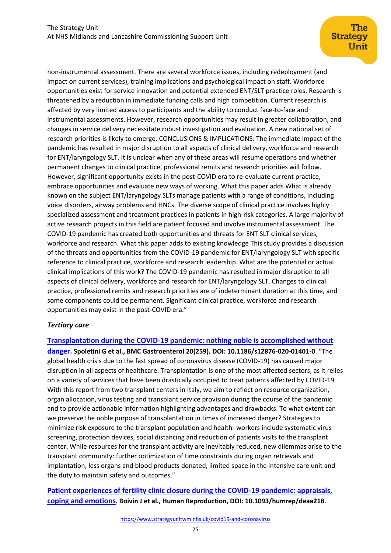non-instrumental assessment. There are several workforce issues, including redeployment (and impact on current services), training implications and psychological impact on staff. Workforce opportunities exist for service innovation and potential extended ENT/SLT practice roles. Research is threatened by a reduction in immediate funding calls and high competition. Current research is affected by very limited access to participants and the ability to conduct face-to-face and instrumental assessments. However, research opportunities may result in greater collaboration, and changes in service delivery necessitate robust investigation and evaluation. A new national set of research priorities is likely to emerge. CONCLUSIONS & IMPLICATIONS: The immediate impact of the pandemic has resulted in major disruption to all aspects of clinical delivery, workforce and research for ENT/laryngology SLT. It is unclear when any of these areas will resume operations and whether permanent changes to clinical practice, professional remits and research priorities will follow. However, significant opportunity exists in the post-COVID era to re-evaluate current practice, embrace opportunities and evaluate new ways of working. What this paper adds What is already known on the subject ENT/laryngology SLTs manage patients with a range of conditions, including voice disorders, airway problems and HNCs. The diverse scope of clinical practice involves highly specialized assessment and treatment practices in patients in high-risk categories. A large majority of active research projects in this field are patient focused and involve instrumental assessment. The COVID-19 pandemic has created both opportunities and threats for ENT SLT clinical services, workforce and research. What this paper adds to existing knowledge This study provides a discussion of the threats and opportunities from the COVID-19 pandemic for ENT/laryngology SLT with specific reference to clinical practice, workforce and research leadership. What are the potential or actual clinical implications of this work? The COVID-19 pandemic has resulted in major disruption to all aspects of clinical delivery, workforce and research for ENT/laryngology SLT. Changes to clinical practice, professional remits and research priorities are of indeterminant duration at this time, and some components could be permanent. Significant clinical practice, workforce and research opportunities may exist in the post-COVID era."

#### *Tertiary care*

**[Transplantation during the COVID-19 pandemic: nothing noble is accomplished without](https://link.springer.com/article/10.1186/s12876-020-01401-0)  [danger](https://link.springer.com/article/10.1186/s12876-020-01401-0). Spoletini G et al., BMC Gastroenterol 20(259). DOI: 10.1186/s12876-020-01401-0**. "The global health crisis due to the fast spread of coronavirus disease (COVID-19) has caused major disruption in all aspects of healthcare. Transplantation is one of the most affected sectors, as it relies on a variety of services that have been drastically occupied to treat patients affected by COVID-19. With this report from two transplant centers in Italy, we aim to reflect on resource organization, organ allocation, virus testing and transplant service provision during the course of the pandemic and to provide actionable information highlighting advantages and drawbacks. To what extent can we preserve the noble purpose of transplantation in times of increased danger? Strategies to minimize risk exposure to the transplant population and health- workers include systematic virus screening, protection devices, social distancing and reduction of patients visits to the transplant center. While resources for the transplant activity are inevitably reduced, new dilemmas arise to the transplant community: further optimization of time constraints during organ retrievals and implantation, less organs and blood products donated, limited space in the intensive care unit and the duty to maintain safety and outcomes."

**[Patient experiences of fertility clinic closure during the COVID-19 pandemic: appraisals,](https://academic.oup.com/humrep/advance-article/doi/10.1093/humrep/deaa218/5881807)  [coping and emotions](https://academic.oup.com/humrep/advance-article/doi/10.1093/humrep/deaa218/5881807). Boivin J et al., Human Reproduction, DOI: 10.1093/humrep/deaa218**.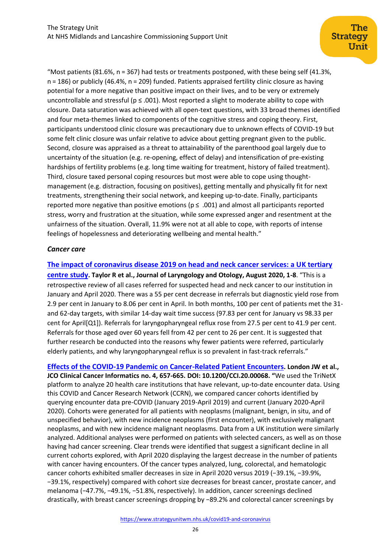"Most patients (81.6%, n = 367) had tests or treatments postponed, with these being self (41.3%, n = 186) or publicly (46.4%, n = 209) funded. Patients appraised fertility clinic closure as having potential for a more negative than positive impact on their lives, and to be very or extremely uncontrollable and stressful ( $p \le 0.001$ ). Most reported a slight to moderate ability to cope with closure. Data saturation was achieved with all open-text questions, with 33 broad themes identified and four meta-themes linked to components of the cognitive stress and coping theory. First, participants understood clinic closure was precautionary due to unknown effects of COVID-19 but some felt clinic closure was unfair relative to advice about getting pregnant given to the public. Second, closure was appraised as a threat to attainability of the parenthood goal largely due to uncertainty of the situation (e.g. re-opening, effect of delay) and intensification of pre-existing hardships of fertility problems (e.g. long time waiting for treatment, history of failed treatment). Third, closure taxed personal coping resources but most were able to cope using thoughtmanagement (e.g. distraction, focusing on positives), getting mentally and physically fit for next treatments, strengthening their social network, and keeping up-to-date. Finally, participants reported more negative than positive emotions ( $p \le 0.001$ ) and almost all participants reported stress, worry and frustration at the situation, while some expressed anger and resentment at the unfairness of the situation. Overall, 11.9% were not at all able to cope, with reports of intense feelings of hopelessness and deteriorating wellbeing and mental health."

#### *Cancer care*

**[The impact of coronavirus disease 2019 on head and neck cancer services: a UK tertiary](https://www.cambridge.org/core/services/aop-cambridge-core/content/view/14253BAB4704F405AC6A53F4F1FEB67B/S0022215120001735a.pdf/impact_of_coronavirus_disease_2019_on_head_and_neck_cancer_services_a_uk_tertiary_centre_study.pdf)  [centre study](https://www.cambridge.org/core/services/aop-cambridge-core/content/view/14253BAB4704F405AC6A53F4F1FEB67B/S0022215120001735a.pdf/impact_of_coronavirus_disease_2019_on_head_and_neck_cancer_services_a_uk_tertiary_centre_study.pdf). Taylor R et al., Journal of Laryngology and Otology, August 2020, 1-8**. "This is a retrospective review of all cases referred for suspected head and neck cancer to our institution in January and April 2020. There was a 55 per cent decrease in referrals but diagnostic yield rose from 2.9 per cent in January to 8.06 per cent in April. In both months, 100 per cent of patients met the 31 and 62-day targets, with similar 14-day wait time success (97.83 per cent for January vs 98.33 per cent for April[Q1]). Referrals for laryngopharyngeal reflux rose from 27.5 per cent to 41.9 per cent. Referrals for those aged over 60 years fell from 42 per cent to 26 per cent. It is suggested that further research be conducted into the reasons why fewer patients were referred, particularly elderly patients, and why laryngopharyngeal reflux is so prevalent in fast-track referrals."

**[Effects of the COVID-19 Pandemic on Cancer-Related Patient Encounters](https://ascopubs.org/doi/10.1200/CCI.20.00068). London JW et al., JCO Clinical Cancer Informatics no. 4, 657-665. DOI: 10.1200/CCI.20.00068. "**We used the TriNetX platform to analyze 20 health care institutions that have relevant, up-to-date encounter data. Using this COVID and Cancer Research Network (CCRN), we compared cancer cohorts identified by querying encounter data pre-COVID (January 2019-April 2019) and current (January 2020-April 2020). Cohorts were generated for all patients with neoplasms (malignant, benign, in situ, and of unspecified behavior), with new incidence neoplasms (first encounter), with exclusively malignant neoplasms, and with new incidence malignant neoplasms. Data from a UK institution were similarly analyzed. Additional analyses were performed on patients with selected cancers, as well as on those having had cancer screening. Clear trends were identified that suggest a significant decline in all current cohorts explored, with April 2020 displaying the largest decrease in the number of patients with cancer having encounters. Of the cancer types analyzed, lung, colorectal, and hematologic cancer cohorts exhibited smaller decreases in size in April 2020 versus 2019 (−39.1%, −39.9%, −39.1%, respectively) compared with cohort size decreases for breast cancer, prostate cancer, and melanoma (−47.7%, −49.1%, −51.8%, respectively). In addition, cancer screenings declined drastically, with breast cancer screenings dropping by −89.2% and colorectal cancer screenings by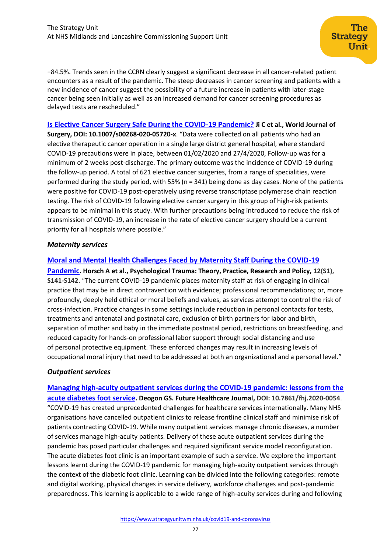−84.5%. Trends seen in the CCRN clearly suggest a significant decrease in all cancer-related patient encounters as a result of the pandemic. The steep decreases in cancer screening and patients with a new incidence of cancer suggest the possibility of a future increase in patients with later-stage cancer being seen initially as well as an increased demand for cancer screening procedures as delayed tests are rescheduled."

**[Is Elective Cancer Surgery Safe During the COVID-19 Pandemic?](https://link.springer.com/article/10.1007/s00268-020-05720-x) Ji C et al., World Journal of Surgery, DOI: 10.1007/s00268-020-05720-x**. "Data were collected on all patients who had an elective therapeutic cancer operation in a single large district general hospital, where standard COVID-19 precautions were in place, between 01/02/2020 and 27/4/2020, Follow-up was for a minimum of 2 weeks post-discharge. The primary outcome was the incidence of COVID-19 during the follow-up period. A total of 621 elective cancer surgeries, from a range of specialities, were performed during the study period, with 55% (n = 341) being done as day cases. None of the patients were positive for COVID-19 post-operatively using reverse transcriptase polymerase chain reaction testing. The risk of COVID-19 following elective cancer surgery in this group of high-risk patients appears to be minimal in this study. With further precautions being introduced to reduce the risk of transmission of COVID-19, an increase in the rate of elective cancer surgery should be a current priority for all hospitals where possible."

#### *Maternity services*

#### **[Moral and Mental Health Challenges Faced by Maternity Staff During the COVID-19](https://doi.apa.org/fulltext/2020-37315-001.html)**

**[Pandemic](https://doi.apa.org/fulltext/2020-37315-001.html). Horsch A et al., Psychological Trauma: Theory, Practice, Research and Policy, 12(S1), S141-S142.** "The current COVID-19 pandemic places maternity staff at risk of engaging in clinical practice that may be in direct contravention with evidence; professional recommendations; or, more profoundly, deeply held ethical or moral beliefs and values, as services attempt to control the risk of cross-infection. Practice changes in some settings include reduction in personal contacts for tests, treatments and antenatal and postnatal care, exclusion of birth partners for labor and birth, separation of mother and baby in the immediate postnatal period, restrictions on breastfeeding, and reduced capacity for hands-on professional labor support through social distancing and use of personal protective equipment. These enforced changes may result in increasing levels of occupational moral injury that need to be addressed at both an organizational and a personal level."

#### *Outpatient services*

**[Managing high-acuity outpatient services during the COVID-19 pandemic: lessons from the](https://www.rcpjournals.org/content/futurehosp/early/2020/08/03/fhj.2020-0054)  [acute diabetes foot service](https://www.rcpjournals.org/content/futurehosp/early/2020/08/03/fhj.2020-0054). Deogon GS. Future Healthcare Journal, DOI: 10.7861/fhj.2020-0054**. "COVID-19 has created unprecedented challenges for healthcare services internationally. Many NHS organisations have cancelled outpatient clinics to release frontline clinical staff and minimise risk of patients contracting COVID-19. While many outpatient services manage chronic diseases, a number of services manage high-acuity patients. Delivery of these acute outpatient services during the pandemic has posed particular challenges and required significant service model reconfiguration. The acute diabetes foot clinic is an important example of such a service. We explore the important lessons learnt during the COVID-19 pandemic for managing high-acuity outpatient services through the context of the diabetic foot clinic. Learning can be divided into the following categories: remote and digital working, physical changes in service delivery, workforce challenges and post-pandemic preparedness. This learning is applicable to a wide range of high-acuity services during and following